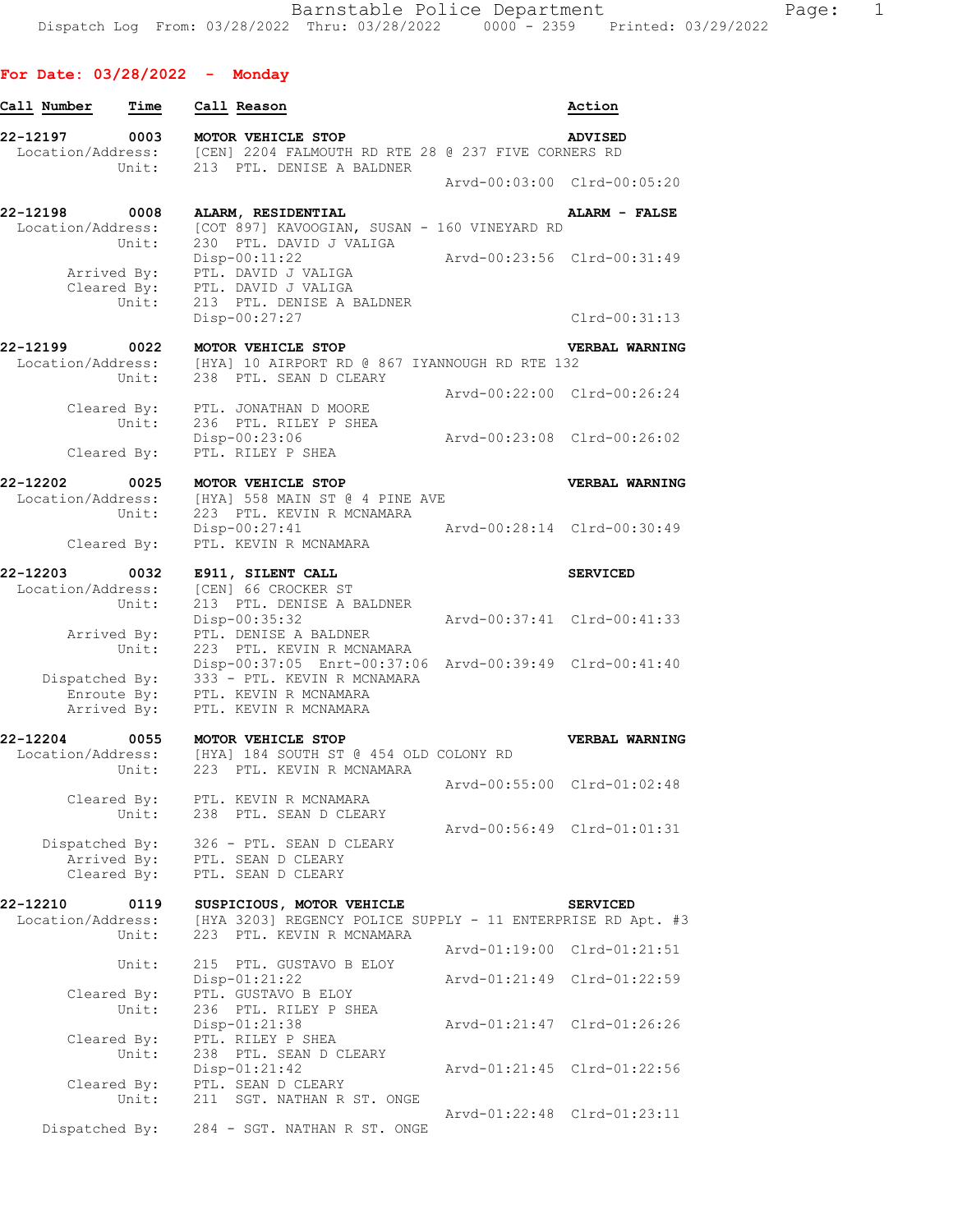## **For Date: 03/28/2022 - Monday**

| Call Number                                  | Time                                | Call Reason                                                                                                   | Action                                         |
|----------------------------------------------|-------------------------------------|---------------------------------------------------------------------------------------------------------------|------------------------------------------------|
| 22-12197<br>Location/Address:                | 0003<br>Unit:                       | MOTOR VEHICLE STOP<br>[CEN] 2204 FALMOUTH RD RTE 28 @ 237 FIVE CORNERS RD<br>213 PTL. DENISE A BALDNER        | <b>ADVISED</b>                                 |
|                                              |                                     |                                                                                                               | Arvd-00:03:00 Clrd-00:05:20                    |
| 22-12198<br>Location/Address:                | 0008<br>Unit:                       | ALARM, RESIDENTIAL<br>[COT 897] KAVOOGIAN, SUSAN - 160 VINEYARD RD<br>230 PTL. DAVID J VALIGA                 | ALARM - FALSE                                  |
|                                              | Arrived By:<br>Cleared By:<br>Unit: | $Disp-00:11:22$<br>PTL. DAVID J VALIGA<br>PTL. DAVID J VALIGA<br>213 PTL. DENISE A BALDNER<br>Disp-00:27:27   | Arvd-00:23:56 Clrd-00:31:49<br>$Clrd-00:31:13$ |
| 22-12199                                     | 0022                                | MOTOR VEHICLE STOP                                                                                            | VERBAL WARNING                                 |
| Location/Address:                            | Unit:                               | [HYA] 10 AIRPORT RD @ 867 IYANNOUGH RD RTE 132<br>238 PTL. SEAN D CLEARY                                      |                                                |
|                                              | Cleared By:                         | PTL. JONATHAN D MOORE                                                                                         | Arvd-00:22:00 Clrd-00:26:24                    |
|                                              | Unit:<br>Cleared By:                | 236 PTL. RILEY P SHEA<br>Disp-00:23:06<br>PTL. RILEY P SHEA                                                   | Arvd-00:23:08 Clrd-00:26:02                    |
| 22-12202<br>Location/Address:                | 0025<br>Unit:                       | MOTOR VEHICLE STOP<br>[HYA] 558 MAIN ST @ 4 PINE AVE<br>223 PTL. KEVIN R MCNAMARA                             | VERBAL WARNING                                 |
|                                              | Cleared By:                         | Disp-00:27:41<br>PTL. KEVIN R MCNAMARA                                                                        | Arvd-00:28:14 Clrd-00:30:49                    |
| 22-12203                                     | 0032                                | E911, SILENT CALL                                                                                             | <b>SERVICED</b>                                |
| Location/Address:                            | Unit:                               | [CEN] 66 CROCKER ST<br>213 PTL. DENISE A BALDNER<br>Disp-00:35:32                                             | Arvd-00:37:41 Clrd-00:41:33                    |
|                                              | Arrived By:<br>Unit:                | PTL. DENISE A BALDNER<br>223 PTL. KEVIN R MCNAMARA<br>Disp-00:37:05 Enrt-00:37:06 Arvd-00:39:49 Clrd-00:41:40 |                                                |
| Dispatched By:<br>Enroute By:<br>Arrived By: |                                     | 333 - PTL. KEVIN R MCNAMARA<br>PTL. KEVIN R MCNAMARA<br>PTL. KEVIN R MCNAMARA                                 |                                                |
| 22-12204                                     | 0055                                | MOTOR VEHICLE STOP                                                                                            | VERBAL WARNING                                 |
| Location/Address:                            | Unit:                               | [HYA] 184 SOUTH ST @ 454 OLD COLONY RD<br>223 PTL. KEVIN R MCNAMARA                                           |                                                |
|                                              | Cleared By:<br>Unit:                | PTL. KEVIN R MCNAMARA<br>238 PTL. SEAN D CLEARY                                                               | Arvd-00:55:00 Clrd-01:02:48                    |
| Dispatched By:                               | Arrived By:                         | 326 - PTL. SEAN D CLEARY<br>PTL. SEAN D CLEARY                                                                | Arvd-00:56:49 Clrd-01:01:31                    |
|                                              | Cleared By:                         | PTL. SEAN D CLEARY                                                                                            |                                                |
| 22-12210<br>Location/Address:                | 0119                                | SUSPICIOUS, MOTOR VEHICLE<br>[HYA 3203] REGENCY POLICE SUPPLY - 11 ENTERPRISE RD Apt. #3                      | <b>SERVICED</b>                                |
|                                              | Unit:                               | 223 PTL. KEVIN R MCNAMARA                                                                                     | Arvd-01:19:00 Clrd-01:21:51                    |
|                                              | Unit:                               | 215 PTL. GUSTAVO B ELOY<br>Disp-01:21:22<br>PTL. GUSTAVO B ELOY                                               | Arvd-01:21:49 Clrd-01:22:59                    |
|                                              | Cleared By:<br>Unit:                | 236 PTL. RILEY P SHEA<br>Disp-01:21:38                                                                        | Arvd-01:21:47 Clrd-01:26:26                    |
|                                              | Cleared By:<br>Unit:                | PTL. RILEY P SHEA<br>238 PTL. SEAN D CLEARY                                                                   |                                                |
|                                              | Cleared By:<br>Unit:                | Disp-01:21:42<br>PTL. SEAN D CLEARY<br>211 SGT. NATHAN R ST. ONGE                                             | Arvd-01:21:45 Clrd-01:22:56                    |
| Dispatched By:                               |                                     | 284 - SGT. NATHAN R ST. ONGE                                                                                  | Arvd-01:22:48 Clrd-01:23:11                    |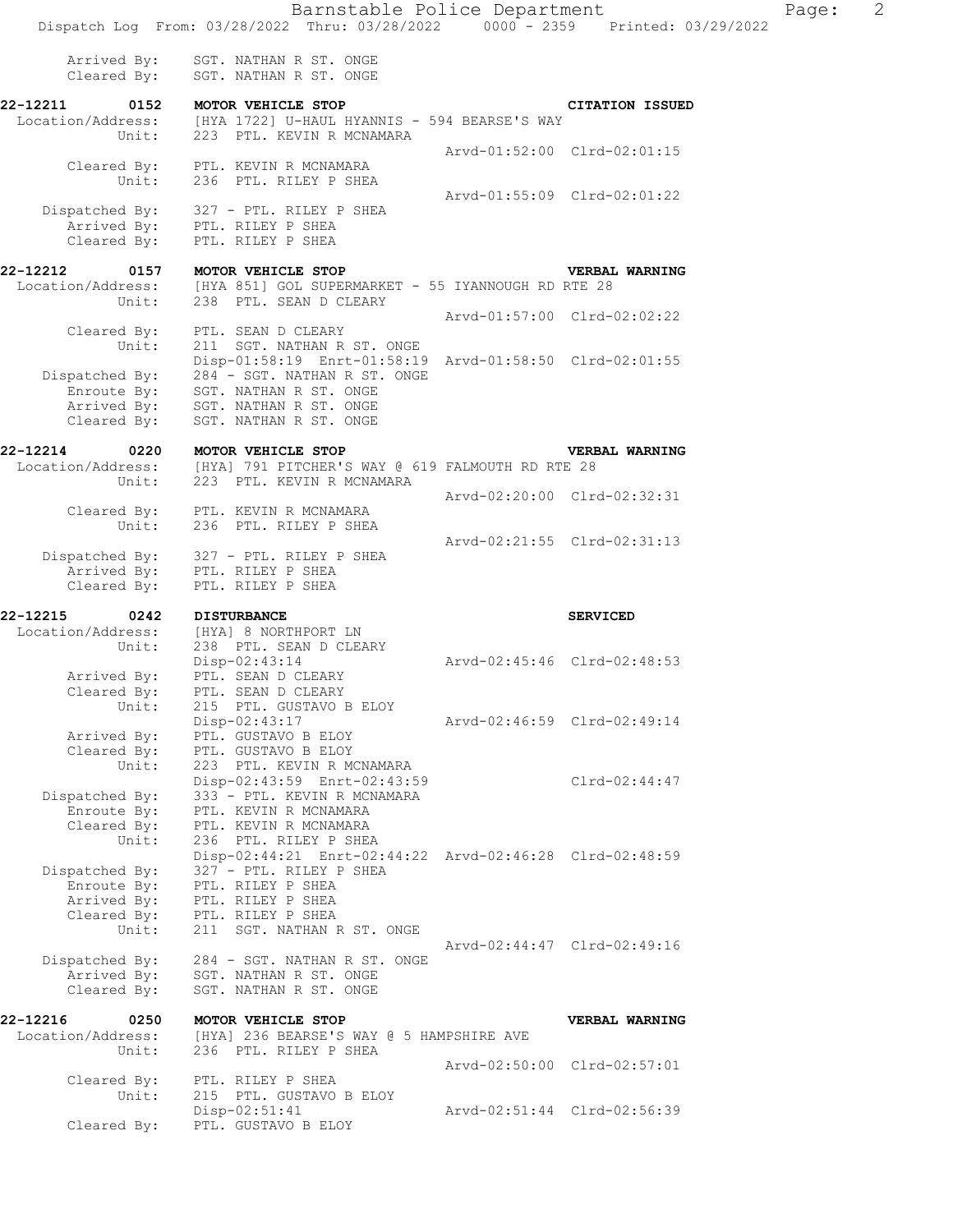| Arrived By: |  | SGT. NATHAN R ST. ONGE |  |  |
|-------------|--|------------------------|--|--|
| Cleared By: |  | SGT. NATHAN R ST. ONGE |  |  |

#### **22-12211 0152 MOTOR VEHICLE STOP CITATION ISSUED**  Location/Address: [HYA 1722] U-HAUL HYANNIS - 594 BEARSE'S WAY Unit: 223 PTL. KEVIN R MCNAMARA Arvd-01:52:00 Clrd-02:01:15 Cleared By: PTL. KEVIN R MCNAMARA Unit: 236 PTL. RILEY P SHEA Arvd-01:55:09 Clrd-02:01:22 Dispatched By: 327 - PTL. RILEY P SHEA Arrived By: PTL. RILEY P SHEA Cleared By: PTL. RILEY P SHEA

### **22-12212 0157 MOTOR VEHICLE STOP VERBAL WARNING**  Location/Address: [HYA 851] GOL SUPERMARKET - 55 IYANNOUGH RD RTE 28 Unit: 238 PTL. SEAN D CLEARY Arvd-01:57:00 Clrd-02:02:22 Cleared By: PTL. SEAN D CLEARY Unit: 211 SGT. NATHAN R ST. ONGE Disp-01:58:19 Enrt-01:58:19 Arvd-01:58:50 Clrd-02:01:55

 Dispatched By: 284 - SGT. NATHAN R ST. ONGE Enroute By: SGT. NATHAN R ST. ONGE Arrived By: SGT. NATHAN R ST. ONGE Cleared By: SGT. NATHAN R ST. ONGE

# **22-12214 0220 MOTOR VEHICLE STOP VERBAL WARNING**

| Location/Address: | [HYA] 791 PITCHER'S WAY @ 619 FALMOUTH RD RTE 28 |                             |
|-------------------|--------------------------------------------------|-----------------------------|
| $\text{Unit:}$    | 223 PTL. KEVIN R MCNAMARA                        |                             |
|                   |                                                  | Arvd-02:20:00 Clrd-02:32:31 |
| Cleared By:       | PTL. KEVIN R MCNAMARA                            |                             |
| $\text{Unit:}$    | 236 PTL. RILEY P SHEA                            |                             |
|                   |                                                  | Arvd-02:21:55 Clrd-02:31:13 |
| Dispatched By:    | 327 - PTL. RILEY P SHEA                          |                             |
| Arrived By:       | PTL. RILEY P SHEA                                |                             |
| Cleared By:       | PTL. RILEY P SHEA                                |                             |

| Location/Address: [HYA] 8 NORTHPORT LN<br>Unit: 238 PTL. SEAN D CLEARY |                             |
|------------------------------------------------------------------------|-----------------------------|
|                                                                        |                             |
|                                                                        |                             |
| Disp-02:43:14                                                          | Aryd-02:45:46 Clrd-02:48:53 |
| PTL. SEAN D CLEARY<br>Arrived By:                                      |                             |
| Cleared By: PTL. SEAN D CLEARY                                         |                             |
| Unit:<br>215 PTL. GUSTAVO B ELOY                                       |                             |
| $Disp-02:43:17$                                                        | Arvd-02:46:59 Clrd-02:49:14 |
| Arrived By:<br>PTL. GUSTAVO B ELOY                                     |                             |
| Cleared By:<br>PTL. GUSTAVO B ELOY                                     |                             |
| Unit:<br>223 PTL. KEVIN R MCNAMARA                                     |                             |
| Disp-02:43:59 Enrt-02:43:59                                            | $Clrd-02:44:47$             |
| 333 - PTL. KEVIN R MCNAMARA<br>Dispatched By:                          |                             |
| Enroute By:<br>PTL. KEVIN R MCNAMARA                                   |                             |
| Cleared By:<br>PTL. KEVIN R MCNAMARA                                   |                             |
| Unit:<br>236 PTL. RILEY P SHEA                                         |                             |
| Disp-02:44:21 Enrt-02:44:22 Arvd-02:46:28 Clrd-02:48:59                |                             |
| 327 - PTL. RILEY P SHEA<br>Dispatched By:                              |                             |
| Enroute By:<br>PTL. RILEY P SHEA                                       |                             |
| Arrived By:<br>PTL. RILEY P SHEA                                       |                             |
| Cleared By: PTL. RILEY P SHEA                                          |                             |
| Unit:<br>211 SGT. NATHAN R ST. ONGE                                    |                             |
|                                                                        | Arvd-02:44:47 Clrd-02:49:16 |
| Dispatched By:<br>284 - SGT. NATHAN R ST. ONGE                         |                             |
| Arrived By:<br>SGT. NATHAN R ST. ONGE                                  |                             |
| Cleared By:<br>SGT. NATHAN R ST. ONGE                                  |                             |
| 22-12216<br>0250<br>MOTOR VEHICLE STOP                                 | <b>VERBAL WARNING</b>       |
| Location/Address: [HYA] 236 BEARSE'S WAY @ 5 HAMPSHIRE AVE             |                             |
| Unit:<br>236 PTL. RILEY P SHEA                                         |                             |
|                                                                        | Arvd-02:50:00 Clrd-02:57:01 |
| Cleared By:<br>PTL. RILEY P SHEA                                       |                             |

Disp-02:51:41 Arvd-02:51:44 Clrd-02:56:39<br>Cleared By: PTL. GUSTAVO B ELOY

Unit: 215 PTL. GUSTAVO B ELOY

Disp-02:51:41<br>PTL. GUSTAVO B ELOY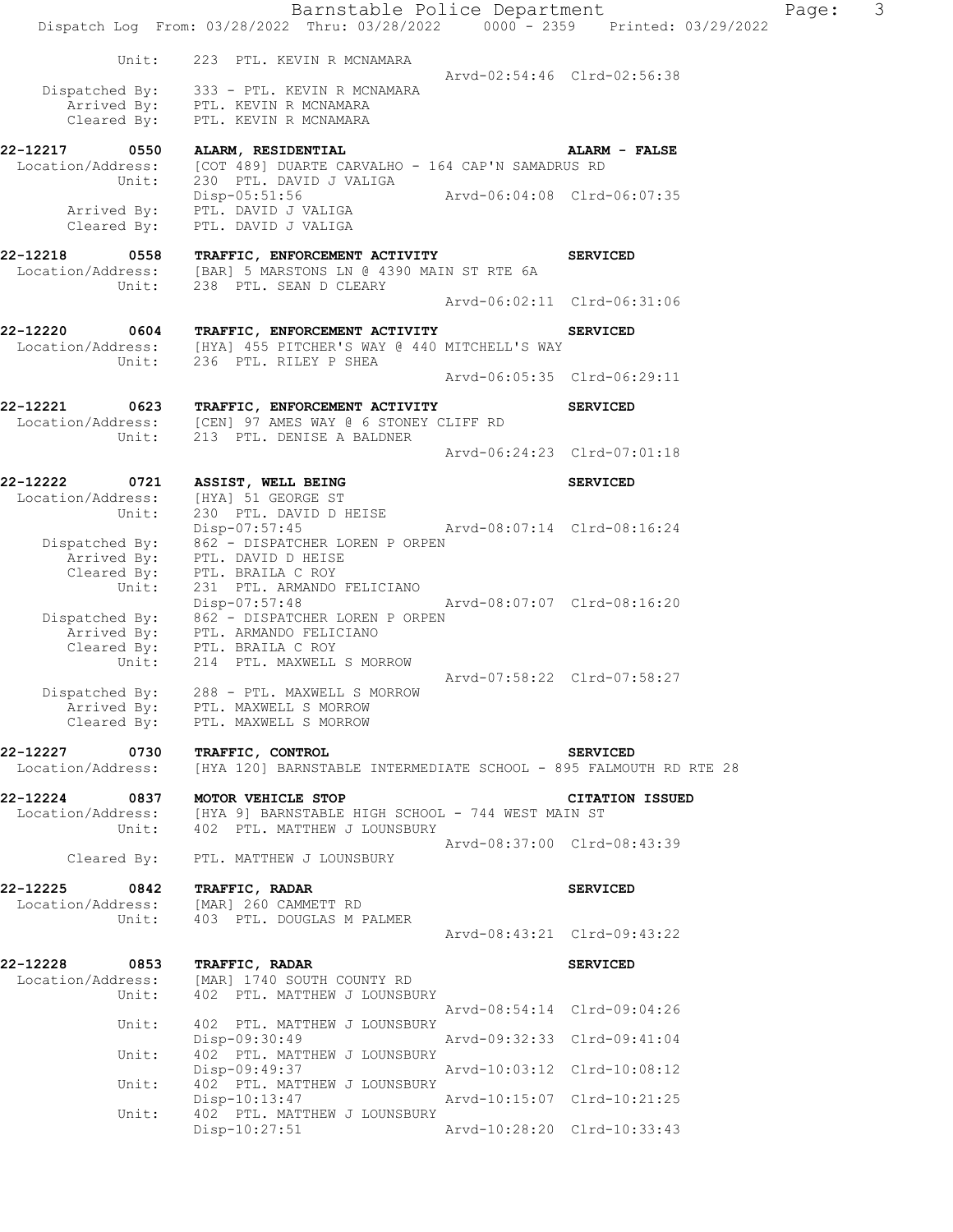|                                                                                            | Barnstable Police Department<br>Dispatch Log From: 03/28/2022 Thru: 03/28/2022 0000 - 2359 Printed: 03/29/2022                                                      |                                                            |                        | Page: | 3 |
|--------------------------------------------------------------------------------------------|---------------------------------------------------------------------------------------------------------------------------------------------------------------------|------------------------------------------------------------|------------------------|-------|---|
| Unit:                                                                                      | 223 PTL. KEVIN R MCNAMARA                                                                                                                                           |                                                            |                        |       |   |
| Cleared By:                                                                                | Dispatched By: 333 - PTL. KEVIN R MCNAMARA<br>Arrived By: PTL. KEVIN R MCNAMARA<br>PTL. KEVIN R MCNAMARA                                                            | Arvd-02:54:46 Clrd-02:56:38                                |                        |       |   |
| 22-12217<br>0550<br>Location/Address:<br>Unit:                                             | ALARM, RESIDENTIAL<br>[COT 489] DUARTE CARVALHO - 164 CAP'N SAMADRUS RD<br>230 PTL. DAVID J VALIGA                                                                  |                                                            | ALARM - FALSE          |       |   |
| Cleared By:                                                                                | Disp-05:51:56<br>Arrived By: PTL. DAVID J VALIGA<br>PTL. DAVID J VALIGA                                                                                             | Arvd-06:04:08 Clrd-06:07:35                                |                        |       |   |
| 22-12218<br>0558<br>Unit:                                                                  | TRAFFIC, ENFORCEMENT ACTIVITY<br>Location/Address: [BAR] 5 MARSTONS LN @ 4390 MAIN ST RTE 6A<br>238 PTL. SEAN D CLEARY                                              |                                                            | <b>SERVICED</b>        |       |   |
|                                                                                            |                                                                                                                                                                     | Arvd-06:02:11 Clrd-06:31:06                                |                        |       |   |
| 22-12220<br>Unit:                                                                          | 0604 TRAFFIC, ENFORCEMENT ACTIVITY<br>Location/Address: [HYA] 455 PITCHER'S WAY @ 440 MITCHELL'S WAY<br>236 PTL. RILEY P SHEA                                       |                                                            | <b>SERVICED</b>        |       |   |
|                                                                                            |                                                                                                                                                                     | Arvd-06:05:35 Clrd-06:29:11                                |                        |       |   |
| 0623<br>22-12221<br>Unit:                                                                  | TRAFFIC, ENFORCEMENT ACTIVITY<br>Location/Address: [CEN] 97 AMES WAY @ 6 STONEY CLIFF RD<br>213 PTL. DENISE A BALDNER                                               |                                                            | <b>SERVICED</b>        |       |   |
|                                                                                            |                                                                                                                                                                     | Arvd-06:24:23 Clrd-07:01:18                                |                        |       |   |
| 22-12222<br>0721                                                                           | ASSIST, WELL BEING                                                                                                                                                  |                                                            | <b>SERVICED</b>        |       |   |
| Location/Address:<br>Unit:<br>Dispatched By:<br>spatched By:<br>Arrived By:<br>Cleared By: | [HYA] 51 GEORGE ST<br>230 PTL. DAVID D HEISE<br>Disp-07:57:45<br>862 - DISPATCHER LOREN P ORPEN<br>PTL. DAVID D HEISE<br>PTL. BRAILA C ROY                          | Arvd-08:07:14 Clrd-08:16:24                                |                        |       |   |
| Unit:                                                                                      | 231 PTL. ARMANDO FELICIANO<br>Disp-07:57:48<br>Dispatched By: 862 - DISPATCHER LOREN P ORPEN<br>Arrived By: PTL. ARMANDO FELICIANO<br>Cleared By: PTL. BRAILA C ROY | Arvd-08:07:07 Clrd-08:16:20                                |                        |       |   |
| Unit:<br>Dispatched By:<br>Cleared By:                                                     | 214 PTL. MAXWELL S MORROW<br>288 - PTL. MAXWELL S MORROW<br>Arrived By: PTL. MAXWELL S MORROW<br>PTL. MAXWELL S MORROW                                              | Arvd-07:58:22 Clrd-07:58:27                                |                        |       |   |
| 22-12227 0730                                                                              | <b>TRAFFIC, CONTROL</b>                                                                                                                                             |                                                            | <b>SERVICED</b>        |       |   |
| Location/Address:                                                                          | [HYA 120] BARNSTABLE INTERMEDIATE SCHOOL - 895 FALMOUTH RD RTE 28                                                                                                   |                                                            |                        |       |   |
| Unit:                                                                                      | 22-12224 0837 MOTOR VEHICLE STOP<br>Location/Address: [HYA 9] BARNSTABLE HIGH SCHOOL - 744 WEST MAIN ST<br>402 PTL. MATTHEW J LOUNSBURY                             |                                                            | <b>CITATION ISSUED</b> |       |   |
| Cleared By:                                                                                | PTL. MATTHEW J LOUNSBURY                                                                                                                                            | Arvd-08:37:00 Clrd-08:43:39                                |                        |       |   |
| 22-12225<br>Unit:                                                                          | 2-12225 0842 TRAFFIC, RADAR<br>Location/Address: [MAR] 260 CAMMETT RD<br>403 PTL. DOUGLAS M PALMER                                                                  |                                                            | <b>SERVICED</b>        |       |   |
|                                                                                            |                                                                                                                                                                     | Arvd-08:43:21 Clrd-09:43:22                                |                        |       |   |
| 22-12228<br>Location/Address:<br>Unit:                                                     | 0853 TRAFFIC, RADAR<br>[MAR] 1740 SOUTH COUNTY RD<br>402 PTL. MATTHEW J LOUNSBURY                                                                                   |                                                            | <b>SERVICED</b>        |       |   |
| Unit:                                                                                      | 402 PTL. MATTHEW J LOUNSBURY                                                                                                                                        | Arvd-08:54:14 Clrd-09:04:26                                |                        |       |   |
| Unit:                                                                                      | Disp-09:30:49<br>402 PTL. MATTHEW J LOUNSBURY<br>Disp-09:49:37                                                                                                      | Arvd-09:32:33 Clrd-09:41:04<br>Arvd-10:03:12 Clrd-10:08:12 |                        |       |   |
| Unit:                                                                                      | 402 PTL. MATTHEW J LOUNSBURY                                                                                                                                        |                                                            |                        |       |   |
| Unit:                                                                                      | Disp-10:13:47<br>402 PTL. MATTHEW J LOUNSBURY<br>$Disp-10:27:51$                                                                                                    | Arvd-10:28:20 Clrd-10:33:43                                |                        |       |   |
|                                                                                            |                                                                                                                                                                     |                                                            |                        |       |   |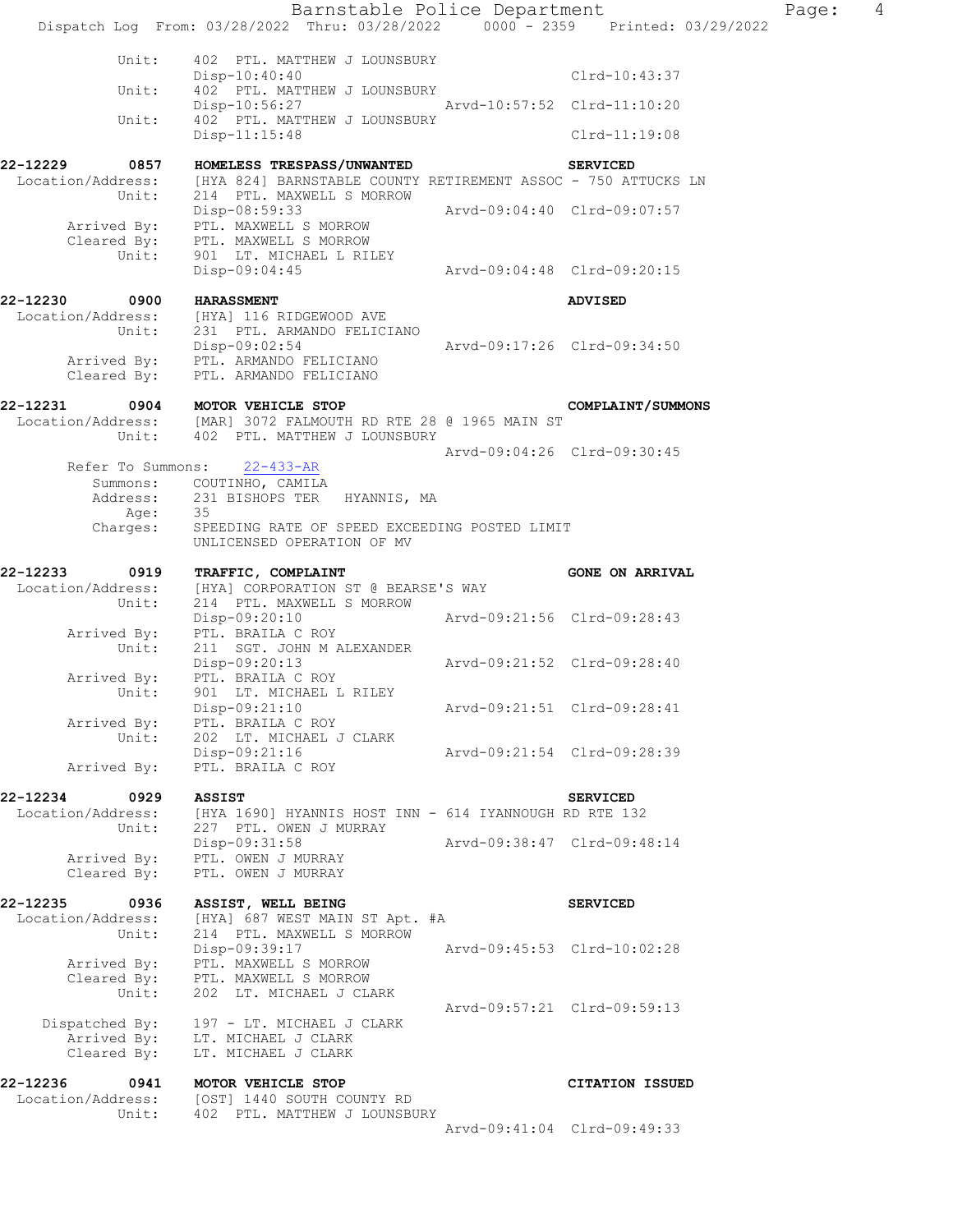|                            | Barnstable Police Department<br>Dispatch Log From: 03/28/2022 Thru: 03/28/2022 0000 - 2359 Printed: 03/29/2022 |                             |                             | Page: | $\overline{4}$ |
|----------------------------|----------------------------------------------------------------------------------------------------------------|-----------------------------|-----------------------------|-------|----------------|
|                            |                                                                                                                |                             |                             |       |                |
| Unit:                      | 402 PTL. MATTHEW J LOUNSBURY<br>$Disp-10:40:40$                                                                |                             | Clrd-10:43:37               |       |                |
| Unit:                      | 402 PTL. MATTHEW J LOUNSBURY<br>Disp-10:56:27                                                                  | Arvd-10:57:52 Clrd-11:10:20 |                             |       |                |
| Unit:                      | 402 PTL. MATTHEW J LOUNSBURY<br>Disp-11:15:48                                                                  |                             | Clrd-11:19:08               |       |                |
| 0857<br>22-12229           | HOMELESS TRESPASS/UNWANTED                                                                                     |                             | <b>SERVICED</b>             |       |                |
| Unit:                      | Location/Address: [HYA 824] BARNSTABLE COUNTY RETIREMENT ASSOC - 750 ATTUCKS LN<br>214 PTL. MAXWELL S MORROW   |                             |                             |       |                |
|                            | Disp-08:59:33<br>Arrived By: PTL. MAXWELL S MORROW<br>Cleared By: PTL. MAXWELL S MORROW                        | Arvd-09:04:40 Clrd-09:07:57 |                             |       |                |
|                            | Unit: 901 LT. MICHAEL L RILEY<br>Disp-09:04:45                                                                 | Arvd-09:04:48 Clrd-09:20:15 |                             |       |                |
| 22-12230<br>0900           | <b>HARASSMENT</b>                                                                                              |                             | <b>ADVISED</b>              |       |                |
|                            | Location/Address: [HYA] 116 RIDGEWOOD AVE<br>Unit: 231 PTL. ARMANDO FELICIANO                                  |                             |                             |       |                |
|                            | Disp-09:02:54<br>Arrived By: PTL. ARMANDO FELICIANO<br>Cleared By: PTL. ARMANDO FELICIANO                      |                             | Arvd-09:17:26 Clrd-09:34:50 |       |                |
| 22-12231                   | 0904 MOTOR VEHICLE STOP                                                                                        |                             | COMPLAINT/SUMMONS           |       |                |
|                            | Location/Address: [MAR] 3072 FALMOUTH RD RTE 28 @ 1965 MAIN ST<br>Unit: 402 PTL. MATTHEW J LOUNSBURY           |                             |                             |       |                |
|                            |                                                                                                                |                             | Arvd-09:04:26 Clrd-09:30:45 |       |                |
| Refer To Summons:          | $22 - 433 - AR$<br>Summons: COUTINHO, CAMILA                                                                   |                             |                             |       |                |
|                            | Address: 231 BISHOPS TER HYANNIS, MA<br>- 35                                                                   |                             |                             |       |                |
| Age:<br>Charges:           | SPEEDING RATE OF SPEED EXCEEDING POSTED LIMIT<br>UNLICENSED OPERATION OF MV                                    |                             |                             |       |                |
| 22-12233<br>0919           | TRAFFIC, COMPLAINT                                                                                             |                             | <b>GONE ON ARRIVAL</b>      |       |                |
| Unit:                      | Location/Address: [HYA] CORPORATION ST @ BEARSE'S WAY<br>214 PTL. MAXWELL S MORROW                             |                             |                             |       |                |
|                            | Disp-09:20:10<br>Arrived By: PTL. BRAILA C ROY                                                                 | Arvd-09:21:56 Clrd-09:28:43 |                             |       |                |
| Unit:                      | 211 SGT. JOHN M ALEXANDER                                                                                      |                             |                             |       |                |
| Unit:                      | Disp-09:20:13<br>Arrived By: PTL. BRAILA C ROY                                                                 | Arvd-09:21:52 Clrd-09:28:40 |                             |       |                |
|                            | 901 LT. MICHAEL L RILEY<br>Disp-09:21:10                                                                       |                             | Arvd-09:21:51 Clrd-09:28:41 |       |                |
| Arrived By:<br>Unit:       | PTL. BRAILA C ROY<br>202 LT. MICHAEL J CLARK                                                                   |                             |                             |       |                |
| Arrived By:                | Disp-09:21:16<br>PTL. BRAILA C ROY                                                                             |                             | Arvd-09:21:54 Clrd-09:28:39 |       |                |
| 22-12234<br>0929           | <b>ASSIST</b>                                                                                                  |                             | <b>SERVICED</b>             |       |                |
| Location/Address:<br>Unit: | [HYA 1690] HYANNIS HOST INN - 614 IYANNOUGH RD RTE 132<br>227 PTL. OWEN J MURRAY                               |                             |                             |       |                |
| Arrived By:                | Disp-09:31:58<br>PTL. OWEN J MURRAY                                                                            |                             | Arvd-09:38:47 Clrd-09:48:14 |       |                |
| Cleared By:                | PTL. OWEN J MURRAY                                                                                             |                             |                             |       |                |
| 22-12235<br>0936           | ASSIST, WELL BEING                                                                                             |                             | <b>SERVICED</b>             |       |                |
| Location/Address:<br>Unit: | [HYA] 687 WEST MAIN ST Apt. #A<br>214 PTL. MAXWELL S MORROW                                                    |                             |                             |       |                |
|                            | Disp-09:39:17<br>Arrived By: PTL. MAXWELL S MORROW                                                             |                             | Arvd-09:45:53 Clrd-10:02:28 |       |                |
| Cleared By:<br>Unit:       | PTL. MAXWELL S MORROW<br>202 LT. MICHAEL J CLARK                                                               |                             |                             |       |                |
| Dispatched By:             | 197 - LT. MICHAEL J CLARK                                                                                      |                             | Arvd-09:57:21 Clrd-09:59:13 |       |                |
| Arrived By:                | LT. MICHAEL J CLARK                                                                                            |                             |                             |       |                |
| Cleared By:                | LT. MICHAEL J CLARK                                                                                            |                             |                             |       |                |
| 22-12236<br>0941           | MOTOR VEHICLE STOP<br>Location/Address: [OST] 1440 SOUTH COUNTY RD                                             |                             | CITATION ISSUED             |       |                |
| Unit:                      | 402 PTL. MATTHEW J LOUNSBURY                                                                                   |                             | Arvd-09:41:04 Clrd-09:49:33 |       |                |
|                            |                                                                                                                |                             |                             |       |                |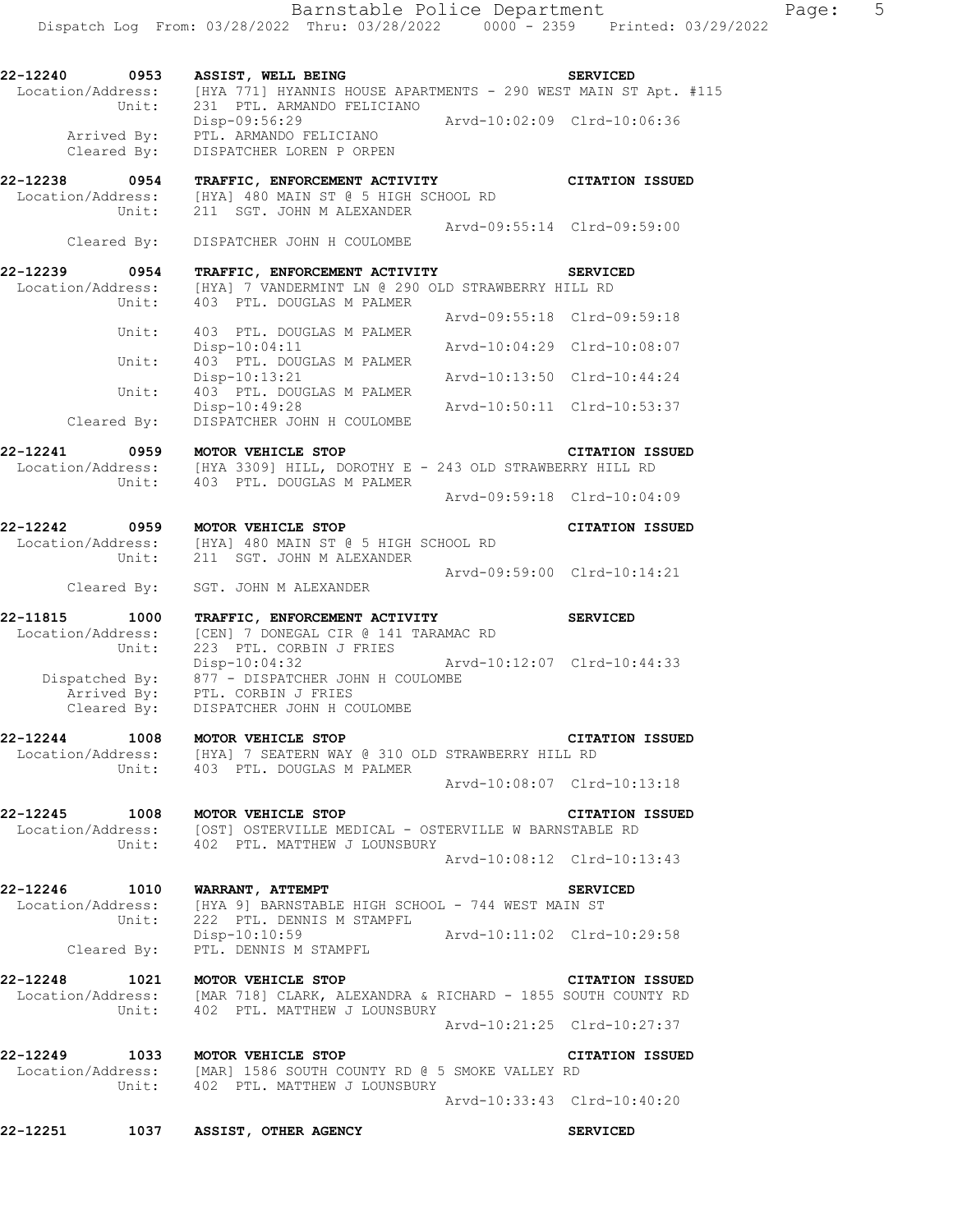**22-12240 0953 ASSIST, WELL BEING SERVICED** 

Location/Address: [HYA 771] HYANNIS HOUSE APARTMENTS - 290 WEST MAIN ST Apt. #115

 Unit: 231 PTL. ARMANDO FELICIANO Disp-09:56:29 Arvd-10:02:09 Clrd-10:06:36 Arrived By: PTL. ARMANDO FELICIANO Cleared By: DISPATCHER LOREN P ORPEN **22-12238 0954 TRAFFIC, ENFORCEMENT ACTIVITY CITATION ISSUED**  Location/Address: [HYA] 480 MAIN ST @ 5 HIGH SCHOOL RD Unit: 211 SGT. JOHN M ALEXANDER Arvd-09:55:14 Clrd-09:59:00 Cleared By: DISPATCHER JOHN H COULOMBE **22-12239 0954 TRAFFIC, ENFORCEMENT ACTIVITY SERVICED**  Location/Address: [HYA] 7 VANDERMINT LN @ 290 OLD STRAWBERRY HILL RD Unit: 403 PTL. DOUGLAS M PALMER Arvd-09:55:18 Clrd-09:59:18 Unit: 403 PTL. DOUGLAS M PALMER Disp-10:04:11 Arvd-10:04:29 Clrd-10:08:07 Unit: 403 PTL. DOUGLAS M PALMER Disp-10:13:21 Arvd-10:13:50 Clrd-10:44:24 Unit:  $403$  PTL. DOUGLAS M PALMER<br>Disp-10:49:28 Disp-10:49:28 Arvd-10:50:11 Clrd-10:53:37 Cleared By: DISPATCHER JOHN H COULOMBE **22-12241 0959 MOTOR VEHICLE STOP CITATION ISSUED**  Location/Address: [HYA 3309] HILL, DOROTHY E - 243 OLD STRAWBERRY HILL RD Unit: 403 PTL. DOUGLAS M PALMER Arvd-09:59:18 Clrd-10:04:09 **22-12242 0959 MOTOR VEHICLE STOP CITATION ISSUED**  Location/Address: [HYA] 480 MAIN ST @ 5 HIGH SCHOOL RD Unit: 211 SGT. JOHN M ALEXANDER Arvd-09:59:00 Clrd-10:14:21 Cleared By: SGT. JOHN M ALEXANDER **22-11815 1000 TRAFFIC, ENFORCEMENT ACTIVITY SERVICED**  Location/Address: [CEN] 7 DONEGAL CIR @ 141 TARAMAC RD Unit: 223 PTL. CORBIN J FRIES Disp-10:04:32 Arvd-10:12:07 Clrd-10:44:33 Dispatched By: 877 - DISPATCHER JOHN H COULOMBE Arrived By: PTL. CORBIN J FRIES Cleared By: DISPATCHER JOHN H COULOMBE **22-12244 1008 MOTOR VEHICLE STOP CITATION ISSUED**  Location/Address: [HYA] 7 SEATERN WAY @ 310 OLD STRAWBERRY HILL RD Unit: 403 PTL. DOUGLAS M PALMER Arvd-10:08:07 Clrd-10:13:18 **22-12245 1008 MOTOR VEHICLE STOP CITATION ISSUED**  Location/Address: [OST] OSTERVILLE MEDICAL - OSTERVILLE W BARNSTABLE RD Unit: 402 PTL. MATTHEW J LOUNSBURY Arvd-10:08:12 Clrd-10:13:43 **22-12246 1010 WARRANT, ATTEMPT SERVICED**  Location/Address: [HYA 9] BARNSTABLE HIGH SCHOOL - 744 WEST MAIN ST Unit: 222 PTL. DENNIS M STAMPFL UNIT: 222 PTL. DENNIS M STAMPFL<br>Disp-10:10:59 Arvd-10:11:02 Clrd-10:29:58 Cleared By: PTL. DENNIS M STAMPFL **22-12248 1021 MOTOR VEHICLE STOP CITATION ISSUED**  Location/Address: [MAR 718] CLARK, ALEXANDRA & RICHARD - 1855 SOUTH COUNTY RD Unit: 402 PTL. MATTHEW J LOUNSBURY Arvd-10:21:25 Clrd-10:27:37 **22-12249 1033 MOTOR VEHICLE STOP CITATION ISSUED**  Location/Address: [MAR] 1586 SOUTH COUNTY RD @ 5 SMOKE VALLEY RD Unit: 402 PTL. MATTHEW J LOUNSBURY Arvd-10:33:43 Clrd-10:40:20

**22-12251 1037 ASSIST, OTHER AGENCY SERVICED**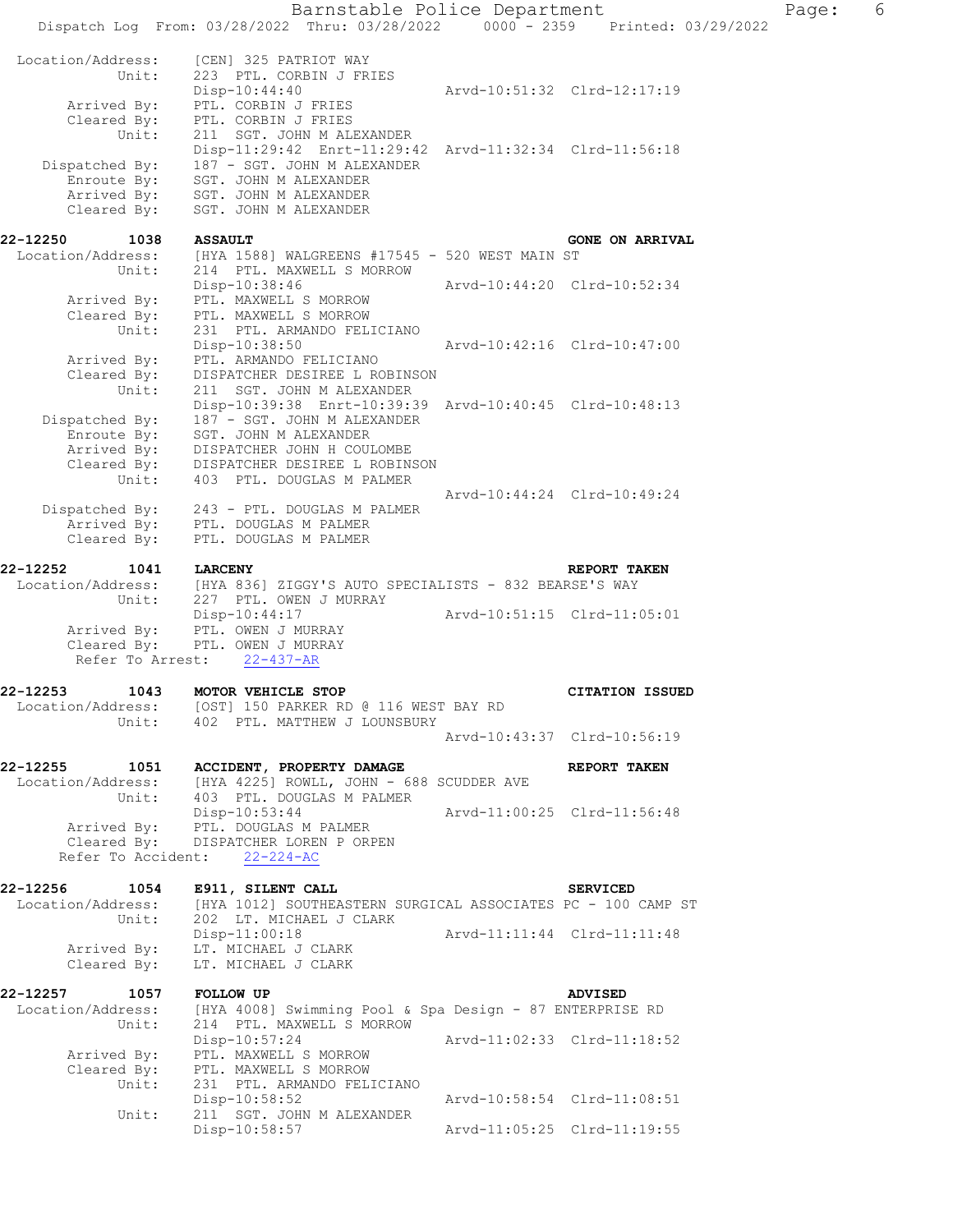|                                                                      | Barnstable Police Department                                                                                                                                                                 |                             |                                 | Page: | 6 |
|----------------------------------------------------------------------|----------------------------------------------------------------------------------------------------------------------------------------------------------------------------------------------|-----------------------------|---------------------------------|-------|---|
|                                                                      | Dispatch Log From: 03/28/2022 Thru: 03/28/2022                                                                                                                                               |                             | 0000 - 2359 Printed: 03/29/2022 |       |   |
| Location/Address:<br>Unit:<br>Arrived By:                            | [CEN] 325 PATRIOT WAY<br>223 PTL. CORBIN J FRIES<br>$Disp-10:44:40$<br>PTL. CORBIN J FRIES                                                                                                   |                             | Arvd-10:51:32 Clrd-12:17:19     |       |   |
| Cleared By:<br>Unit:<br>Dispatched By:<br>Enroute By:<br>Arrived By: | PTL. CORBIN J FRIES<br>211 SGT. JOHN M ALEXANDER<br>Disp-11:29:42 Enrt-11:29:42 Arvd-11:32:34 Clrd-11:56:18<br>187 - SGT. JOHN M ALEXANDER<br>SGT. JOHN M ALEXANDER<br>SGT. JOHN M ALEXANDER |                             |                                 |       |   |
| Cleared By:                                                          | SGT. JOHN M ALEXANDER                                                                                                                                                                        |                             |                                 |       |   |
| 22-12250<br>1038                                                     | <b>ASSAULT</b>                                                                                                                                                                               |                             | <b>GONE ON ARRIVAL</b>          |       |   |
| Location/Address:<br>Unit:                                           | [HYA 1588] WALGREENS #17545 - 520 WEST MAIN ST<br>214 PTL. MAXWELL S MORROW                                                                                                                  |                             |                                 |       |   |
| Arrived By:                                                          | $Disp-10:38:46$<br>PTL. MAXWELL S MORROW                                                                                                                                                     | Arvd-10:44:20 Clrd-10:52:34 |                                 |       |   |
| Cleared By:                                                          | PTL. MAXWELL S MORROW                                                                                                                                                                        |                             |                                 |       |   |
| Unit:                                                                | 231 PTL. ARMANDO FELICIANO<br>Disp-10:38:50                                                                                                                                                  | Arvd-10:42:16 Clrd-10:47:00 |                                 |       |   |
| Arrived By:                                                          | PTL. ARMANDO FELICIANO                                                                                                                                                                       |                             |                                 |       |   |
| Cleared By:<br>Unit:                                                 | DISPATCHER DESIREE L ROBINSON<br>211 SGT. JOHN M ALEXANDER                                                                                                                                   |                             |                                 |       |   |
|                                                                      | Disp-10:39:38 Enrt-10:39:39 Arvd-10:40:45 Clrd-10:48:13                                                                                                                                      |                             |                                 |       |   |
| Dispatched By:<br>Enroute By:                                        | 187 - SGT. JOHN M ALEXANDER<br>SGT. JOHN M ALEXANDER                                                                                                                                         |                             |                                 |       |   |
| Arrived By:                                                          | DISPATCHER JOHN H COULOMBE                                                                                                                                                                   |                             |                                 |       |   |
| Cleared By:<br>Unit:                                                 | DISPATCHER DESIREE L ROBINSON<br>403 PTL. DOUGLAS M PALMER                                                                                                                                   |                             |                                 |       |   |
|                                                                      |                                                                                                                                                                                              | Arvd-10:44:24 Clrd-10:49:24 |                                 |       |   |
| Dispatched By:<br>Arrived By:                                        | 243 - PTL. DOUGLAS M PALMER<br>PTL. DOUGLAS M PALMER                                                                                                                                         |                             |                                 |       |   |
| Cleared By:                                                          | PTL. DOUGLAS M PALMER                                                                                                                                                                        |                             |                                 |       |   |
| 22-12252<br>1041                                                     | <b>LARCENY</b>                                                                                                                                                                               |                             | REPORT TAKEN                    |       |   |
| Location/Address:<br>Unit:                                           | [HYA 836] ZIGGY'S AUTO SPECIALISTS - 832 BEARSE'S WAY<br>227 PTL. OWEN J MURRAY                                                                                                              |                             |                                 |       |   |
|                                                                      | Disp-10:44:17                                                                                                                                                                                | Arvd-10:51:15 Clrd-11:05:01 |                                 |       |   |
| Arrived By:<br>Cleared By:                                           | PTL. OWEN J MURRAY<br>PTL. OWEN J MURRAY                                                                                                                                                     |                             |                                 |       |   |
| Refer To Arrest:                                                     | $22 - 437 - AR$                                                                                                                                                                              |                             |                                 |       |   |
| 22-12253<br>1043                                                     | MOTOR VEHICLE STOP                                                                                                                                                                           |                             | <b>CITATION ISSUED</b>          |       |   |
| Unit:                                                                | Location/Address: [OST] 150 PARKER RD @ 116 WEST BAY RD<br>402 PTL. MATTHEW J LOUNSBURY                                                                                                      |                             |                                 |       |   |
|                                                                      |                                                                                                                                                                                              |                             | Arvd-10:43:37 Clrd-10:56:19     |       |   |
| 22-12255<br>1051                                                     | ACCIDENT, PROPERTY DAMAGE                                                                                                                                                                    |                             | REPORT TAKEN                    |       |   |
| Location/Address:                                                    | [HYA 4225] ROWLL, JOHN - 688 SCUDDER AVE                                                                                                                                                     |                             |                                 |       |   |
| Unit:                                                                | 403 PTL. DOUGLAS M PALMER<br>$Disp-10:53:44$                                                                                                                                                 | Arvd-11:00:25 Clrd-11:56:48 |                                 |       |   |
| Arrived By:                                                          | PTL. DOUGLAS M PALMER                                                                                                                                                                        |                             |                                 |       |   |
| Cleared By:<br>Refer To Accident:                                    | DISPATCHER LOREN P ORPEN<br>$22 - 224 - AC$                                                                                                                                                  |                             |                                 |       |   |
|                                                                      |                                                                                                                                                                                              |                             |                                 |       |   |
| 22-12256<br>1054<br>Location/Address:                                | E911, SILENT CALL<br>[HYA 1012] SOUTHEASTERN SURGICAL ASSOCIATES PC - 100 CAMP ST                                                                                                            |                             | <b>SERVICED</b>                 |       |   |
| Unit:                                                                | 202 LT. MICHAEL J CLARK                                                                                                                                                                      |                             |                                 |       |   |
| Arrived By:                                                          | $Disp-11:00:18$<br>LT. MICHAEL J CLARK                                                                                                                                                       | Arvd-11:11:44 Clrd-11:11:48 |                                 |       |   |
| Cleared By:                                                          | LT. MICHAEL J CLARK                                                                                                                                                                          |                             |                                 |       |   |
| 22-12257<br>1057                                                     | <b>FOLLOW UP</b>                                                                                                                                                                             |                             | <b>ADVISED</b>                  |       |   |
| Location/Address:<br>Unit:                                           | [HYA 4008] Swimming Pool & Spa Design - 87 ENTERPRISE RD<br>214 PTL. MAXWELL S MORROW                                                                                                        |                             |                                 |       |   |
|                                                                      | Disp-10:57:24                                                                                                                                                                                |                             | Arvd-11:02:33 Clrd-11:18:52     |       |   |
| Arrived By:<br>Cleared By:                                           | PTL. MAXWELL S MORROW<br>PTL. MAXWELL S MORROW                                                                                                                                               |                             |                                 |       |   |
| Unit:                                                                | 231 PTL. ARMANDO FELICIANO                                                                                                                                                                   |                             |                                 |       |   |
| Unit:                                                                | $Disp-10:58:52$<br>211 SGT. JOHN M ALEXANDER                                                                                                                                                 | Arvd-10:58:54 Clrd-11:08:51 |                                 |       |   |
|                                                                      | $Disp-10:58:57$                                                                                                                                                                              | Arvd-11:05:25 Clrd-11:19:55 |                                 |       |   |
|                                                                      |                                                                                                                                                                                              |                             |                                 |       |   |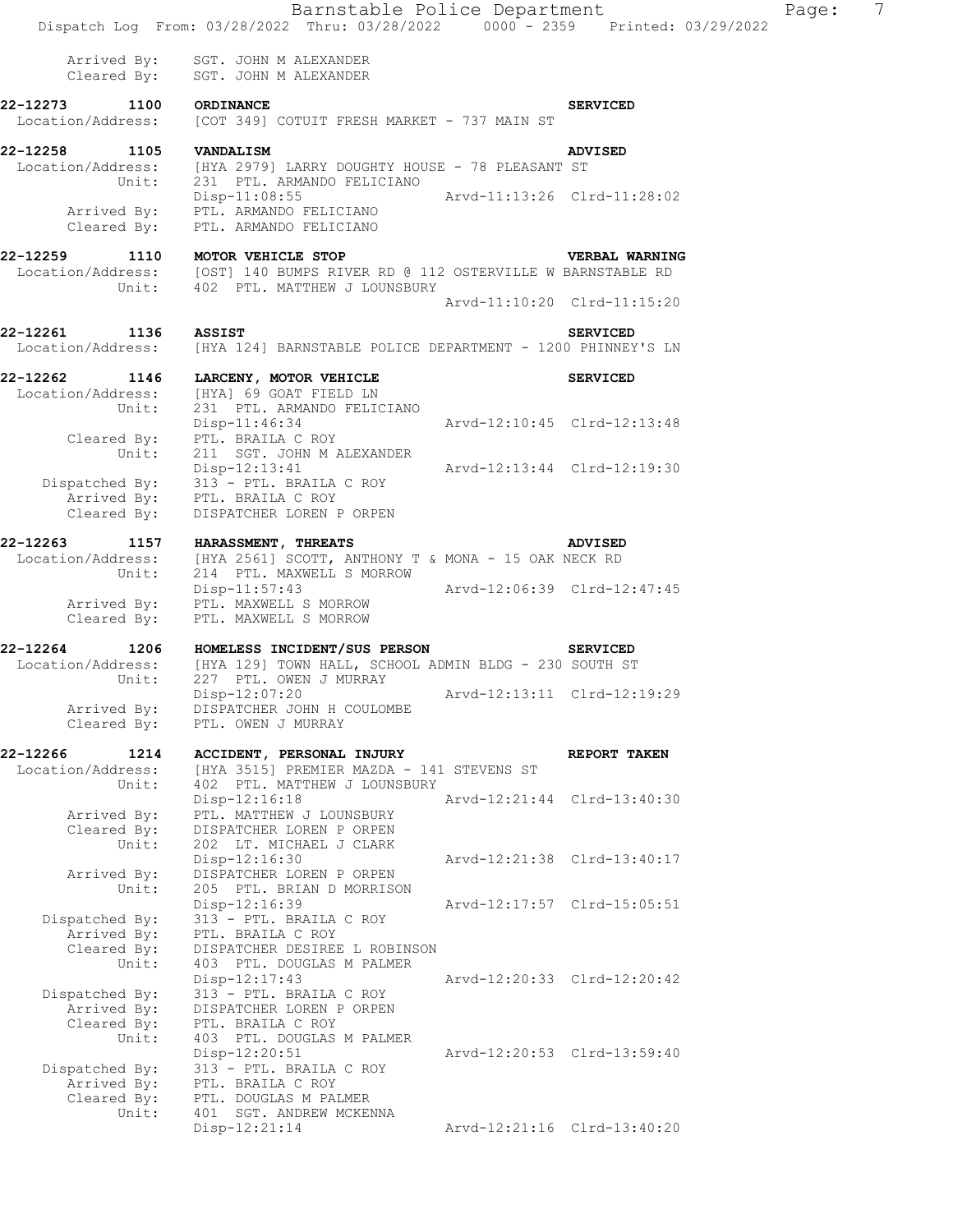|                                                       | Barnstable Police Department<br>Dispatch Log From: 03/28/2022 Thru: 03/28/2022 0000 - 2359 Printed: 03/29/2022                         |                             |                 | $\overline{7}$<br>Page: |
|-------------------------------------------------------|----------------------------------------------------------------------------------------------------------------------------------------|-----------------------------|-----------------|-------------------------|
| Cleared By:                                           | Arrived By: SGT. JOHN M ALEXANDER<br>SGT. JOHN M ALEXANDER                                                                             |                             |                 |                         |
| 22-12273<br>1100<br>Location/Address:                 | ORDINANCE<br>[COT 349] COTUIT FRESH MARKET - 737 MAIN ST                                                                               |                             | <b>SERVICED</b> |                         |
| 22-12258 1105 VANDALISM<br>Unit:                      | Location/Address: [HYA 2979] LARRY DOUGHTY HOUSE - 78 PLEASANT ST<br>231 PTL. ARMANDO FELICIANO                                        |                             | <b>ADVISED</b>  |                         |
| Arrived By:<br>Cleared By:                            | $Disp-11:08:55$<br>PTL. ARMANDO FELICIANO<br>PTL. ARMANDO FELICIANO                                                                    | Arvd-11:13:26 Clrd-11:28:02 |                 |                         |
| 22-12259<br>Unit:                                     | 1110 MOTOR VEHICLE STOP<br>Location/Address: [OST] 140 BUMPS RIVER RD @ 112 OSTERVILLE W BARNSTABLE RD<br>402 PTL. MATTHEW J LOUNSBURY |                             | VERBAL WARNING  |                         |
|                                                       |                                                                                                                                        | Arvd-11:10:20 Clrd-11:15:20 |                 |                         |
| 22-12261 1136 ASSIST<br>Location/Address:             | [HYA 124] BARNSTABLE POLICE DEPARTMENT - 1200 PHINNEY'S LN                                                                             |                             | <b>SERVICED</b> |                         |
| Location/Address:<br>Unit:                            | 22-12262 1146 LARCENY, MOTOR VEHICLE<br>[HYA] 69 GOAT FIELD LN<br>231 PTL. ARMANDO FELICIANO                                           |                             | <b>SERVICED</b> |                         |
| Cleared By:<br>Unit:                                  | $Disp-11:46:34$<br>PTL. BRAILA C ROY<br>211 SGT. JOHN M ALEXANDER                                                                      | Arvd-12:10:45 Clrd-12:13:48 |                 |                         |
| Cleared By:                                           | Disp-12:13:41<br>Dispatched By: 313 - PTL. BRAILA C ROY<br>Arrived By: PTL. BRAILA C ROY<br>DISPATCHER LOREN P ORPEN                   | Arvd-12:13:44 Clrd-12:19:30 |                 |                         |
| 22-12263<br>Location/Address:<br>Unit:                | 1157 HARASSMENT, THREATS<br>[HYA 2561] SCOTT, ANTHONY T & MONA - 15 OAK NECK RD<br>214 PTL. MAXWELL S MORROW                           |                             | <b>ADVISED</b>  |                         |
| Arrived By:<br>Cleared By:                            | $Disp-11:57:43$<br>PTL. MAXWELL S MORROW<br>PTL. MAXWELL S MORROW                                                                      | Arvd-12:06:39 Clrd-12:47:45 |                 |                         |
| 22-12264<br>Unit:                                     | 1206 HOMELESS INCIDENT/SUS PERSON<br>Location/Address: [HYA 129] TOWN HALL, SCHOOL ADMIN BLDG - 230 SOUTH ST<br>227 PTL. OWEN J MURRAY |                             | <b>SERVICED</b> |                         |
| Arrived By:<br>Cleared By:                            | Disp-12:07:20<br>DISPATCHER JOHN H COULOMBE<br>PTL. OWEN J MURRAY                                                                      | Arvd-12:13:11 Clrd-12:19:29 |                 |                         |
| 22-12266<br>1214<br>Location/Address:                 | ACCIDENT, PERSONAL INJURY<br>[HYA 3515] PREMIER MAZDA - 141 STEVENS ST                                                                 |                             | REPORT TAKEN    |                         |
| Unit:<br>Arrived By:                                  | 402 PTL. MATTHEW J LOUNSBURY<br>Disp-12:16:18<br>PTL. MATTHEW J LOUNSBURY                                                              | Arvd-12:21:44 Clrd-13:40:30 |                 |                         |
| Cleared By:<br>Unit:                                  | DISPATCHER LOREN P ORPEN<br>202 LT. MICHAEL J CLARK<br>Disp-12:16:30                                                                   | Arvd-12:21:38 Clrd-13:40:17 |                 |                         |
| Arrived By:<br>Unit:                                  | DISPATCHER LOREN P ORPEN<br>205 PTL. BRIAN D MORRISON<br>Disp-12:16:39                                                                 | Arvd-12:17:57 Clrd-15:05:51 |                 |                         |
| Dispatched By:<br>Arrived By:<br>Cleared By:<br>Unit: | 313 - PTL. BRAILA C ROY<br>PTL. BRAILA C ROY<br>DISPATCHER DESIREE L ROBINSON<br>403 PTL. DOUGLAS M PALMER                             |                             |                 |                         |
| Dispatched By:<br>Arrived By:<br>Cleared By:          | Disp-12:17:43<br>313 - PTL. BRAILA C ROY<br>DISPATCHER LOREN P ORPEN<br>PTL. BRAILA C ROY                                              | Arvd-12:20:33 Clrd-12:20:42 |                 |                         |
| Unit:<br>Dispatched By:                               | 403 PTL. DOUGLAS M PALMER<br>Disp-12:20:51<br>313 - PTL. BRAILA C ROY                                                                  | Arvd-12:20:53 Clrd-13:59:40 |                 |                         |
| Arrived By:<br>Cleared By:<br>Unit:                   | PTL. BRAILA C ROY<br>PTL. DOUGLAS M PALMER<br>401 SGT. ANDREW MCKENNA                                                                  |                             |                 |                         |
|                                                       | Disp-12:21:14                                                                                                                          | Arvd-12:21:16 Clrd-13:40:20 |                 |                         |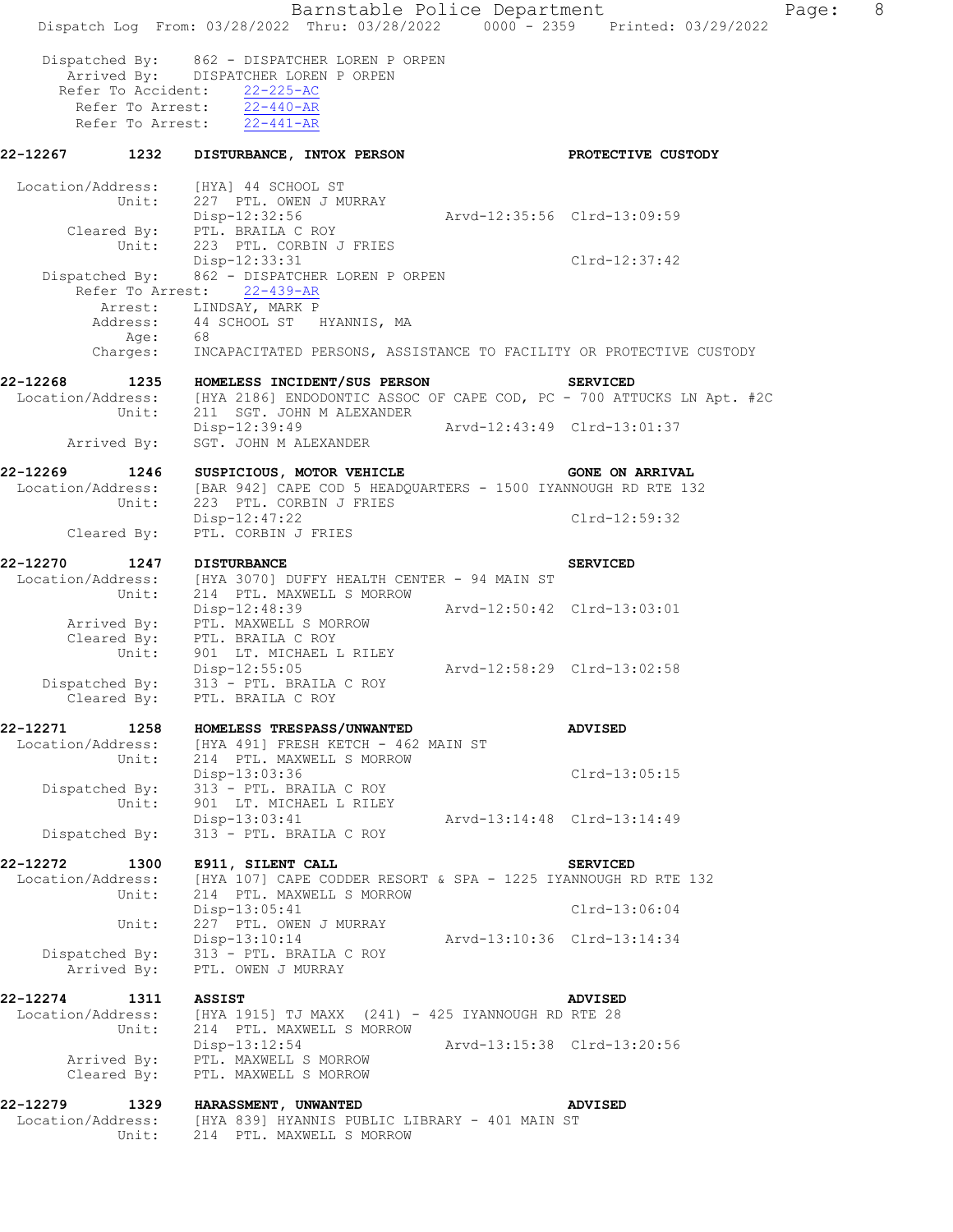Barnstable Police Department Page: 8 Dispatch Log From: 03/28/2022 Thru: 03/28/2022 0000 - 2359 Printed: 03/29/2022 Dispatched By: 862 - DISPATCHER LOREN P ORPEN Arrived By: DISPATCHER LOREN P ORPEN Refer To Accident: 22-225-AC Refer To Arrest: 22-440-AR Refer To Arrest:  $\overline{22-441-AR}$ **22-12267 1232 DISTURBANCE, INTOX PERSON PROTECTIVE CUSTODY**  Location/Address: [HYA] 44 SCHOOL ST Unit: 227 PTL. OWEN J MURRAY Disp-12:32:56 Arvd-12:35:56 Clrd-13:09:59 Cleared By: PTL. BRAILA C ROY<br>Unit: 223 PTL. CORBIN J FRIES Unit: 223 PTL. CORBIN J FRIES Disp-12:33:31 Clrd-12:37:42 Dispatched By: 862 - DISPATCHER LOREN P ORPEN Refer To Arrest: 22-439-AR Arrest: LINDSAY, MARK P Address: 44 SCHOOL ST HYANNIS, MA Age: 68 Charges: INCAPACITATED PERSONS, ASSISTANCE TO FACILITY OR PROTECTIVE CUSTODY **22-12268 1235 HOMELESS INCIDENT/SUS PERSON SERVICED**  Location/Address: [HYA 2186] ENDODONTIC ASSOC OF CAPE COD, PC - 700 ATTUCKS LN Apt. #2C Unit: 211 SGT. JOHN M ALEXANDER Disp-12:39:49 Arvd-12:43:49 Clrd-13:01:37 Arrived By: SGT. JOHN M ALEXANDER 22-12269 1246 SUSPICIOUS, MOTOR VEHICLE **120 CONE ON ARRIVAL**  Location/Address: [BAR 942] CAPE COD 5 HEADQUARTERS - 1500 IYANNOUGH RD RTE 132 Unit: 223 PTL. CORBIN J FRIES Disp-12:47:22 Clrd-12:59:32 Cleared By: PTL. CORBIN J FRIES **22-12270 1247 DISTURBANCE SERVICED**  Location/Address: [HYA 3070] DUFFY HEALTH CENTER - 94 MAIN ST Unit: 214 PTL. MAXWELL S MORROW Disp-12:48:39 Arvd-12:50:42 Clrd-13:03:01 Arrived By: PTL. MAXWELL S MORROW Cleared By: PTL. BRAILA C ROY Unit: 901 LT. MICHAEL L RILEY Disp-12:55:05 Arvd-12:58:29 Clrd-13:02:58 Dispatched By: 313 - PTL. BRAILA C ROY Cleared By: PTL. BRAILA C ROY **22-12271 1258 HOMELESS TRESPASS/UNWANTED ADVISED**  Location/Address: [HYA 491] FRESH KETCH - 462 MAIN ST Unit: 214 PTL. MAXWELL S MORROW Disp-13:03:36 Clrd-13:05:15 Dispatched By: 313 - PTL. BRAILA C ROY Unit: 901 LT. MICHAEL L RILEY Disp-13:03:41 Arvd-13:14:48 Clrd-13:14:49 Dispatched By: 313 - PTL. BRAILA C ROY **22-12272 1300 E911, SILENT CALL SERVICED**  Location/Address: [HYA 107] CAPE CODDER RESORT & SPA - 1225 IYANNOUGH RD RTE 132 Unit: 214 PTL. MAXWELL S MORROW Disp-13:05:41 Clrd-13:06:04 Unit: 227 PTL. OWEN J MURRAY Disp-13:10:14 Arvd-13:10:36 Clrd-13:14:34 Dispatched By: 313 - PTL. BRAILA C ROY Arrived By: PTL. OWEN J MURRAY **22-12274 1311 ASSIST ADVISED**  Location/Address: [HYA 1915] TJ MAXX (241) - 425 IYANNOUGH RD RTE 28 Unit: 214 PTL. MAXWELL S MORROW Disp-13:12:54 Arvd-13:15:38 Clrd-13:20:56 Arrived By: PTL. MAXWELL S MORROW Cleared By: PTL. MAXWELL S MORROW **22-12279 1329 HARASSMENT, UNWANTED ADVISED**  Location/Address: [HYA 839] HYANNIS PUBLIC LIBRARY - 401 MAIN ST Unit: 214 PTL. MAXWELL S MORROW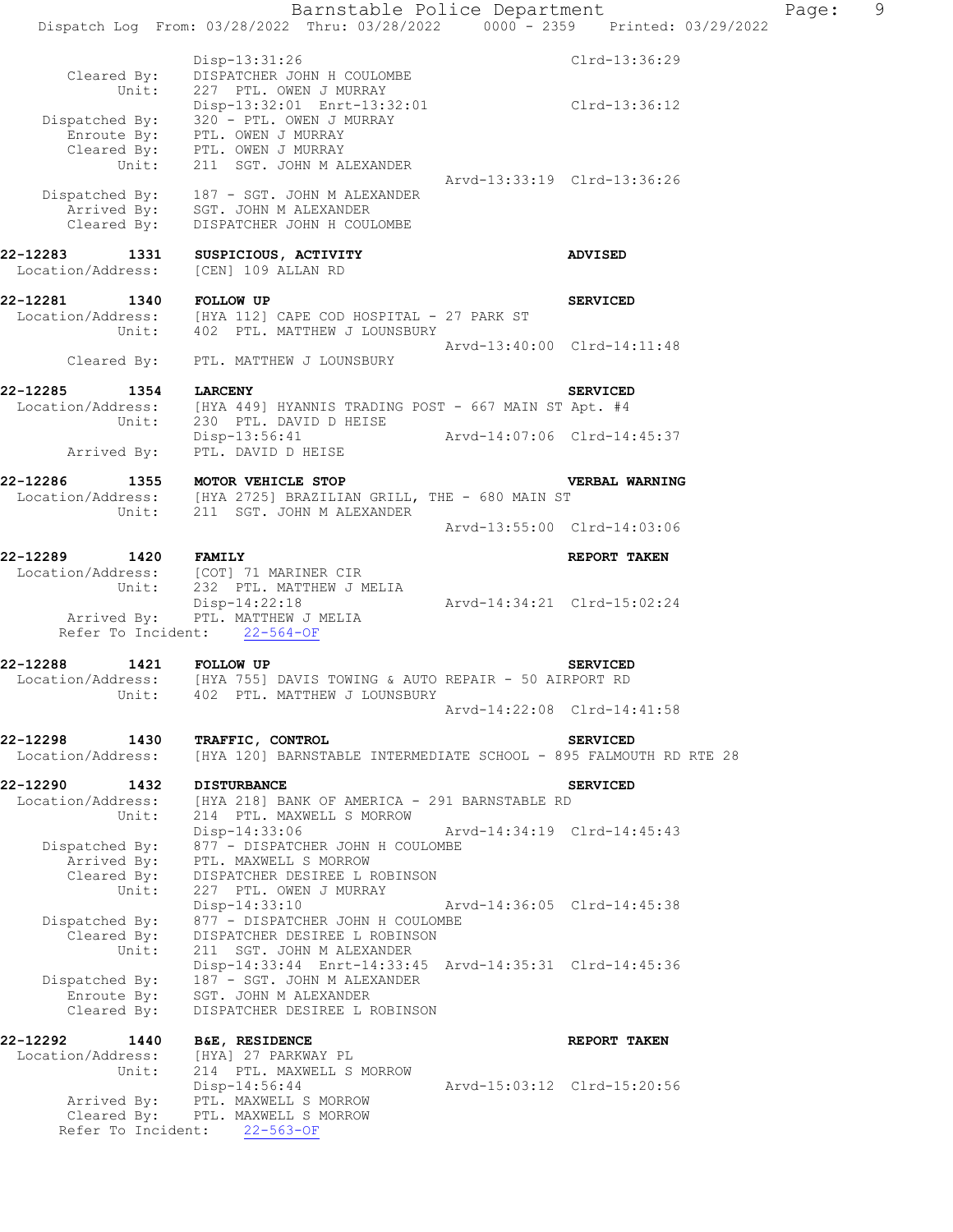Barnstable Police Department Page: 9 Dispatch Log From: 03/28/2022 Thru: 03/28/2022 0000 - 2359 Printed: 03/29/2022 Disp-13:31:26 Clrd-13:36:29 Cleared By: DISPATCHER JOHN H COULOMBE<br>Unit: 227 PTL. OWEN J MURRAY 227 PTL. OWEN J MURRAY Disp-13:32:01 Enrt-13:32:01 Clrd-13:36:12 Dispatched By: 320 - PTL. OWEN J MURRAY Enroute By: PTL. OWEN J MURRAY Cleared By: PTL. OWEN J MURRAY Unit: 211 SGT. JOHN M ALEXANDER Arvd-13:33:19 Clrd-13:36:26 Dispatched By: 187 - SGT. JOHN M ALEXANDER Arrived By: SGT. JOHN M ALEXANDER Cleared By: DISPATCHER JOHN H COULOMBE **22-12283 1331 SUSPICIOUS, ACTIVITY ADVISED**  Location/Address: [CEN] 109 ALLAN RD **22-12281 1340 FOLLOW UP SERVICED**  Location/Address: [HYA 112] CAPE COD HOSPITAL - 27 PARK ST Unit: 402 PTL. MATTHEW J LOUNSBURY Arvd-13:40:00 Clrd-14:11:48 Cleared By: PTL. MATTHEW J LOUNSBURY **22-12285 1354 LARCENY SERVICED**  Location/Address: [HYA 449] HYANNIS TRADING POST - 667 MAIN ST Apt. #4 Unit: 230 PTL. DAVID D HEISE<br>Disp-13:56:41 Arvd-14:07:06 Clrd-14:45:37 Arrived By: PTL. DAVID D HEISE **22-12286 1355 MOTOR VEHICLE STOP VERBAL WARNING**  Location/Address: [HYA 2725] BRAZILIAN GRILL, THE - 680 MAIN ST Unit: 211 SGT. JOHN M ALEXANDER Arvd-13:55:00 Clrd-14:03:06 **22-12289 1420 FAMILY REPORT TAKEN**  Location/Address: [COT] 71 MARINER CIR Unit: 232 PTL. MATTHEW J MELIA Disp-14:22:18 Arvd-14:34:21 Clrd-15:02:24 Arrived By: PTL. MATTHEW J MELIA Refer To Incident: 22-564-OF **22-12288 1421 FOLLOW UP SERVICED**  Location/Address: [HYA 755] DAVIS TOWING & AUTO REPAIR - 50 AIRPORT RD Unit: 402 PTL. MATTHEW J LOUNSBURY Arvd-14:22:08 Clrd-14:41:58 **22-12298 1430 TRAFFIC, CONTROL SERVICED**  Location/Address: [HYA 120] BARNSTABLE INTERMEDIATE SCHOOL - 895 FALMOUTH RD RTE 28 **22-12290 1432 DISTURBANCE SERVICED**  Location/Address: [HYA 218] BANK OF AMERICA - 291 BARNSTABLE RD Unit: 214 PTL. MAXWELL S MORROW Disp-14:33:06 Arvd-14:34:19 Clrd-14:45:43 Dispatched By: 877 - DISPATCHER JOHN H COULOMBE Arrived By: PTL. MAXWELL S MORROW Cleared By: DISPATCHER DESIREE L ROBINSON Unit: 227 PTL. OWEN J MURRAY Disp-14:33:10 Arvd-14:36:05 Clrd-14:45:38 Dispatched By: 877 - DISPATCHER JOHN H COULOMBE Cleared By: DISPATCHER DESIREE L ROBINSON Unit: 211 SGT. JOHN M ALEXANDER Disp-14:33:44 Enrt-14:33:45 Arvd-14:35:31 Clrd-14:45:36 Dispatched By: 187 - SGT. JOHN M ALEXANDER Enroute By: SGT. JOHN M ALEXANDER Cleared By: DISPATCHER DESIREE L ROBINSON **22-12292 1440 B&E, RESIDENCE REPORT TAKEN**  Location/Address: [HYA] 27 PARKWAY PL Unit: 214 PTL. MAXWELL S MORROW Disp-14:56:44 Arvd-15:03:12 Clrd-15:20:56 Arrived By: PTL. MAXWELL S MORROW Cleared By: PTL. MAXWELL S MORROW

Refer To Incident: 22-563-OF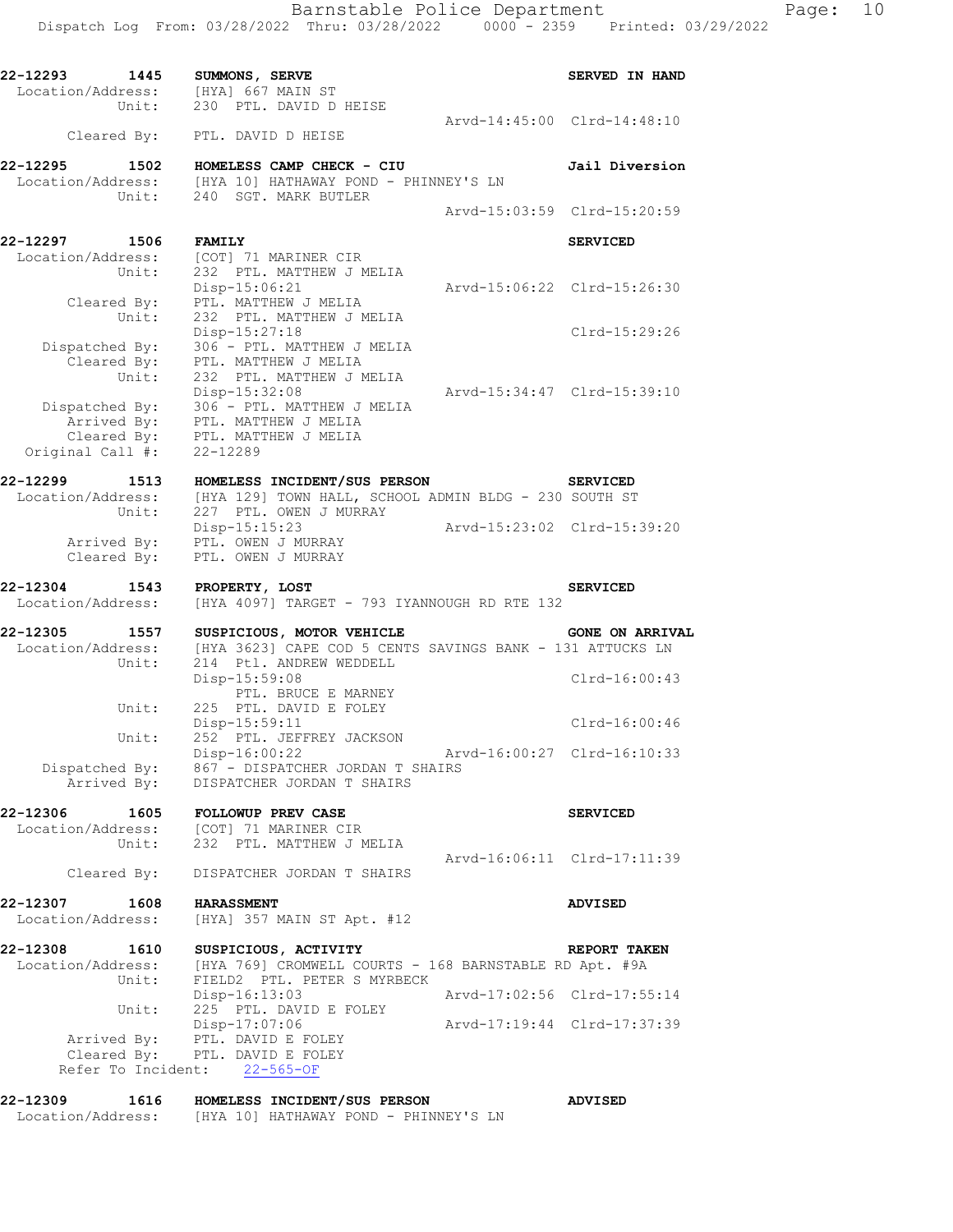|         | - - - - - |  |
|---------|-----------|--|
| 29/2022 |           |  |
|         |           |  |
|         |           |  |

| 22-12293<br>Location/Address:      | 1445                                | SUMMONS, SERVE<br>[HYA] 667 MAIN ST                                                                               |                             | <b>SERVED IN HAND</b>  |
|------------------------------------|-------------------------------------|-------------------------------------------------------------------------------------------------------------------|-----------------------------|------------------------|
|                                    | Unit:                               | 230 PTL. DAVID D HEISE<br>Cleared By: PTL. DAVID D HEISE                                                          | Arvd-14:45:00 Clrd-14:48:10 |                        |
| 22-12295                           | 1502                                | HOMELESS CAMP CHECK - CIU                                                                                         |                             | Jail Diversion         |
|                                    | Unit:                               | Location/Address: [HYA 10] HATHAWAY POND - PHINNEY'S LN<br>240 SGT. MARK BUTLER                                   |                             |                        |
|                                    |                                     |                                                                                                                   | Arvd-15:03:59 Clrd-15:20:59 |                        |
| 22-12297 1506                      |                                     | <b>FAMILY</b>                                                                                                     |                             | <b>SERVICED</b>        |
| Location/Address:                  | Unit:                               | [COT] 71 MARINER CIR<br>232 PTL. MATTHEW J MELIA<br>Disp-15:06:21                                                 | Arvd-15:06:22 Clrd-15:26:30 |                        |
|                                    | Cleared By:<br>Unit:                | PTL. MATTHEW J MELIA<br>232 PTL. MATTHEW J MELIA<br>Disp-15:27:18                                                 |                             | Clrd-15:29:26          |
|                                    | Cleared By:<br>Unit:                | Dispatched By: 306 - PTL. MATTHEW J MELIA<br>PTL. MATTHEW J MELIA<br>232 PTL. MATTHEW J MELIA<br>Disp-15:32:08    | Arvd-15:34:47 Clrd-15:39:10 |                        |
| Original Call #:                   | Cleared By:                         | Dispatched By: 306 - PTL. MATTHEW J MELIA<br>Arrived By: PTL. MATTHEW J MELIA<br>PTL. MATTHEW J MELIA<br>22-12289 |                             |                        |
| 22-12299 1513<br>Location/Address: |                                     | HOMELESS INCIDENT/SUS PERSON<br>[HYA 129] TOWN HALL, SCHOOL ADMIN BLDG - 230 SOUTH ST                             | <b>SERVICED</b>             |                        |
|                                    | Unit:<br>Arrived By:<br>Cleared By: | 227 PTL. OWEN J MURRAY<br>Disp-15:15:23<br>PTL. OWEN J MURRAY<br>PTL. OWEN J MURRAY                               |                             |                        |
| 22-12304 1543<br>Location/Address: |                                     | PROPERTY, LOST<br>[HYA 4097] TARGET - 793 IYANNOUGH RD RTE 132                                                    |                             | <b>SERVICED</b>        |
| 22-12305<br>Location/Address:      | 1557                                | SUSPICIOUS, MOTOR VEHICLE<br>[HYA 3623] CAPE COD 5 CENTS SAVINGS BANK - 131 ATTUCKS LN                            |                             | <b>GONE ON ARRIVAL</b> |
|                                    | Unit:                               | 214 Ptl. ANDREW WEDDELL<br>Disp-15:59:08<br>PTL. BRUCE E MARNEY                                                   |                             | Clrd-16:00:43          |
|                                    | Unit:                               | 225 PTL. DAVID E FOLEY<br>Disp-15:59:11                                                                           |                             | Clrd-16:00:46          |
|                                    | Unit:                               | 252 PTL. JEFFREY JACKSON<br>Disp-16:00:22                                                                         | Arvd-16:00:27 Clrd-16:10:33 |                        |
| Dispatched By:                     | Arrived By:                         | 867 - DISPATCHER JORDAN T SHAIRS<br>DISPATCHER JORDAN T SHAIRS                                                    |                             |                        |
| 22-12306<br>Location/Address:      | 1605<br>Unit:                       | FOLLOWUP PREV CASE<br>[COT] 71 MARINER CIR<br>232 PTL. MATTHEW J MELIA                                            |                             | <b>SERVICED</b>        |
|                                    | Cleared By:                         | DISPATCHER JORDAN T SHAIRS                                                                                        | Arvd-16:06:11 Clrd-17:11:39 |                        |
| 22-12307<br>Location/Address:      | 1608                                | <b>HARASSMENT</b><br>[HYA] 357 MAIN ST Apt. #12                                                                   |                             | <b>ADVISED</b>         |
| 22-12308                           | 1610                                | SUSPICIOUS, ACTIVITY                                                                                              |                             | REPORT TAKEN           |
| Location/Address:                  | Unit:                               | [HYA 769] CROMWELL COURTS - 168 BARNSTABLE RD Apt. #9A<br>FIELD2 PTL. PETER S MYRBECK                             |                             |                        |
|                                    | Unit:                               | Disp-16:13:03<br>225 PTL. DAVID E FOLEY                                                                           | Arvd-17:02:56 Clrd-17:55:14 |                        |
|                                    | Arrived By:<br>Cleared By:          | Disp-17:07:06<br>PTL. DAVID E FOLEY<br>PTL. DAVID E FOLEY<br>Refer To Incident: 22-565-OF                         | Arvd-17:19:44 Clrd-17:37:39 |                        |
| 22-12309<br>Location/Address:      | 1616                                | HOMELESS INCIDENT/SUS PERSON<br>[HYA 10] HATHAWAY POND - PHINNEY'S LN                                             |                             | <b>ADVISED</b>         |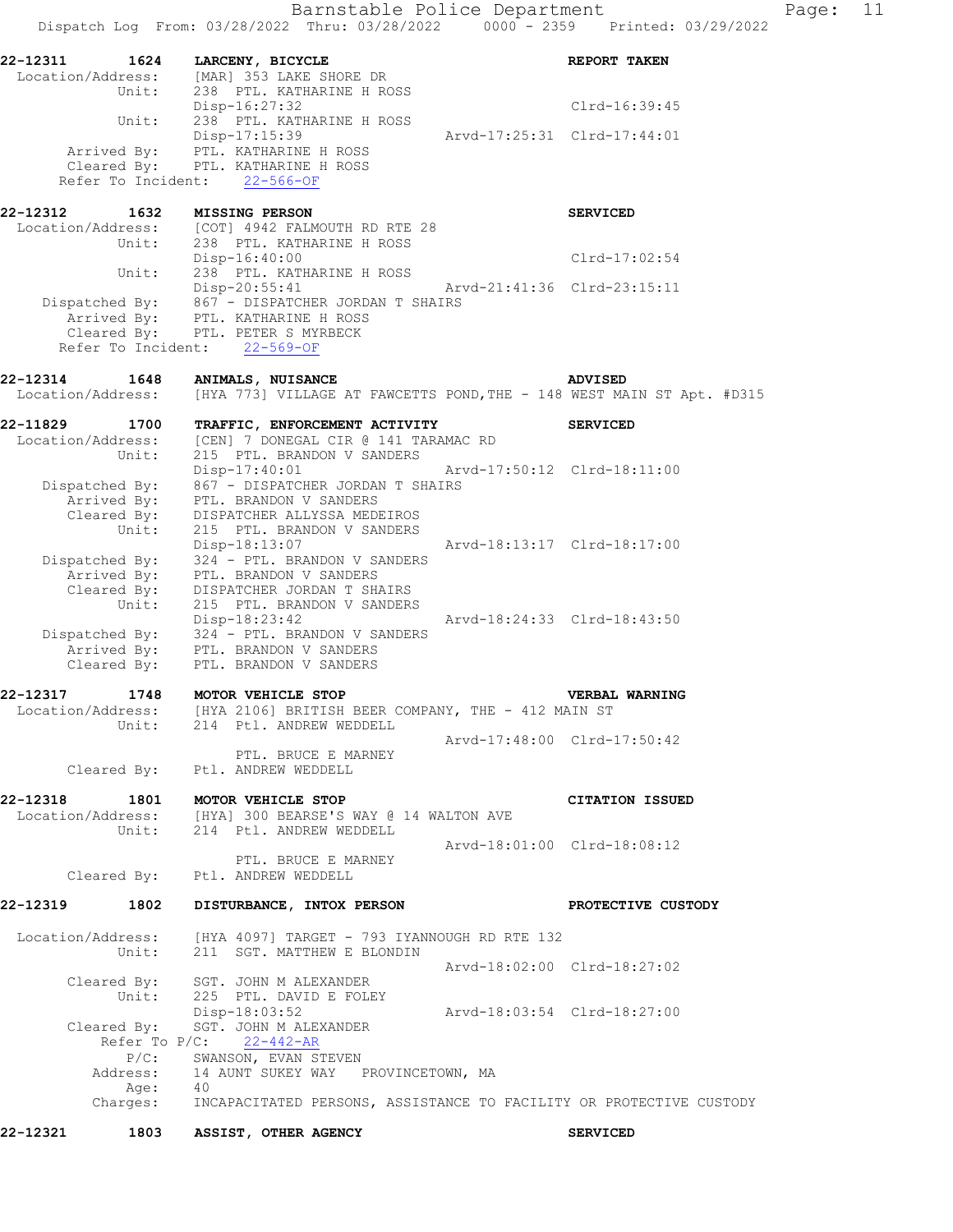Barnstable Police Department Page: 11 Dispatch Log From: 03/28/2022 Thru: 03/28/2022 0000 - 2359 Printed: 03/29/2022 **22-12311 1624 LARCENY, BICYCLE REPORT TAKEN**  Location/Address: [MAR] 353 LAKE SHORE DR Unit: 238 PTL. KATHARINE H ROSS Disp-16:27:32 Clrd-16:39:45 Unit: 238 PTL. KATHARINE H ROSS Disp-17:15:39 Arvd-17:25:31 Clrd-17:44:01 Arrived By: PTL. KATHARINE H ROSS Cleared By: PTL. KATHARINE H ROSS Refer To Incident: 22-566-OF **22-12312 1632 MISSING PERSON SERVICED**  Location/Address: [COT] 4942 FALMOUTH RD RTE 28 Unit: 238 PTL. KATHARINE H ROSS Disp-16:40:00 Clrd-17:02:54 Unit: 238 PTL. KATHARINE H ROSS Disp-20:55:41 Arvd-21:41:36 Clrd-23:15:11 Dispatched By: 867 - DISPATCHER JORDAN T SHAIRS Arrived By: PTL. KATHARINE H ROSS Cleared By: PTL. PETER S MYRBECK Refer To Incident: 22-569-OF **22-12314 1648 ANIMALS, NUISANCE ADVISED**  Location/Address: [HYA 773] VILLAGE AT FAWCETTS POND,THE - 148 WEST MAIN ST Apt. #D315 **22-11829 1700 TRAFFIC, ENFORCEMENT ACTIVITY SERVICED**  Location/Address: [CEN] 7 DONEGAL CIR @ 141 TARAMAC RD Unit: 215 PTL. BRANDON V SANDERS Disp-17:40:01 Arvd-17:50:12 Clrd-18:11:00 Dispatched By: 867 - DISPATCHER JORDAN T SHAIRS Arrived By: PTL. BRANDON V SANDERS Cleared By: DISPATCHER ALLYSSA MEDEIROS Unit: 215 PTL. BRANDON V SANDERS Disp-18:13:07 Arvd-18:13:17 Clrd-18:17:00 Dispatched By: 324 - PTL. BRANDON V SANDERS Arrived By: PTL. BRANDON V SANDERS Cleared By: DISPATCHER JORDAN T SHAIRS Unit: 215 PTL. BRANDON V SANDERS Disp-18:23:42 Arvd-18:24:33 Clrd-18:43:50 Dispatched By: 324 - PTL. BRANDON V SANDERS Arrived By: PTL. BRANDON V SANDERS Cleared By: PTL. BRANDON V SANDERS **22-12317 1748 MOTOR VEHICLE STOP VERBAL WARNING**  Location/Address: [HYA 2106] BRITISH BEER COMPANY, THE - 412 MAIN ST Unit: 214 Ptl. ANDREW WEDDELL Arvd-17:48:00 Clrd-17:50:42 PTL. BRUCE E MARNEY Cleared By: Ptl. ANDREW WEDDELL **22-12318 1801 MOTOR VEHICLE STOP CITATION ISSUED**  Location/Address: [HYA] 300 BEARSE'S WAY @ 14 WALTON AVE Unit: 214 Ptl. ANDREW WEDDELL Arvd-18:01:00 Clrd-18:08:12 PTL. BRUCE E MARNEY Cleared By: Ptl. ANDREW WEDDELL **22-12319 1802 DISTURBANCE, INTOX PERSON PROTECTIVE CUSTODY**  Location/Address: [HYA 4097] TARGET - 793 IYANNOUGH RD RTE 132 Unit: 211 SGT. MATTHEW E BLONDIN Arvd-18:02:00 Clrd-18:27:02 Cleared By: SGT. JOHN M ALEXANDER Unit: 225 PTL. DAVID E FOLEY Disp-18:03:52 Arvd-18:03:54 Clrd-18:27:00 Cleared By: SGT. JOHN M ALEXANDER Refer To P/C: 22-442-AR P/C: SWANSON, EVAN STEVEN Address: 14 AUNT SUKEY WAY PROVINCETOWN, MA Age: 40 Charges: INCAPACITATED PERSONS, ASSISTANCE TO FACILITY OR PROTECTIVE CUSTODY

**22-12321 1803 ASSIST, OTHER AGENCY SERVICED**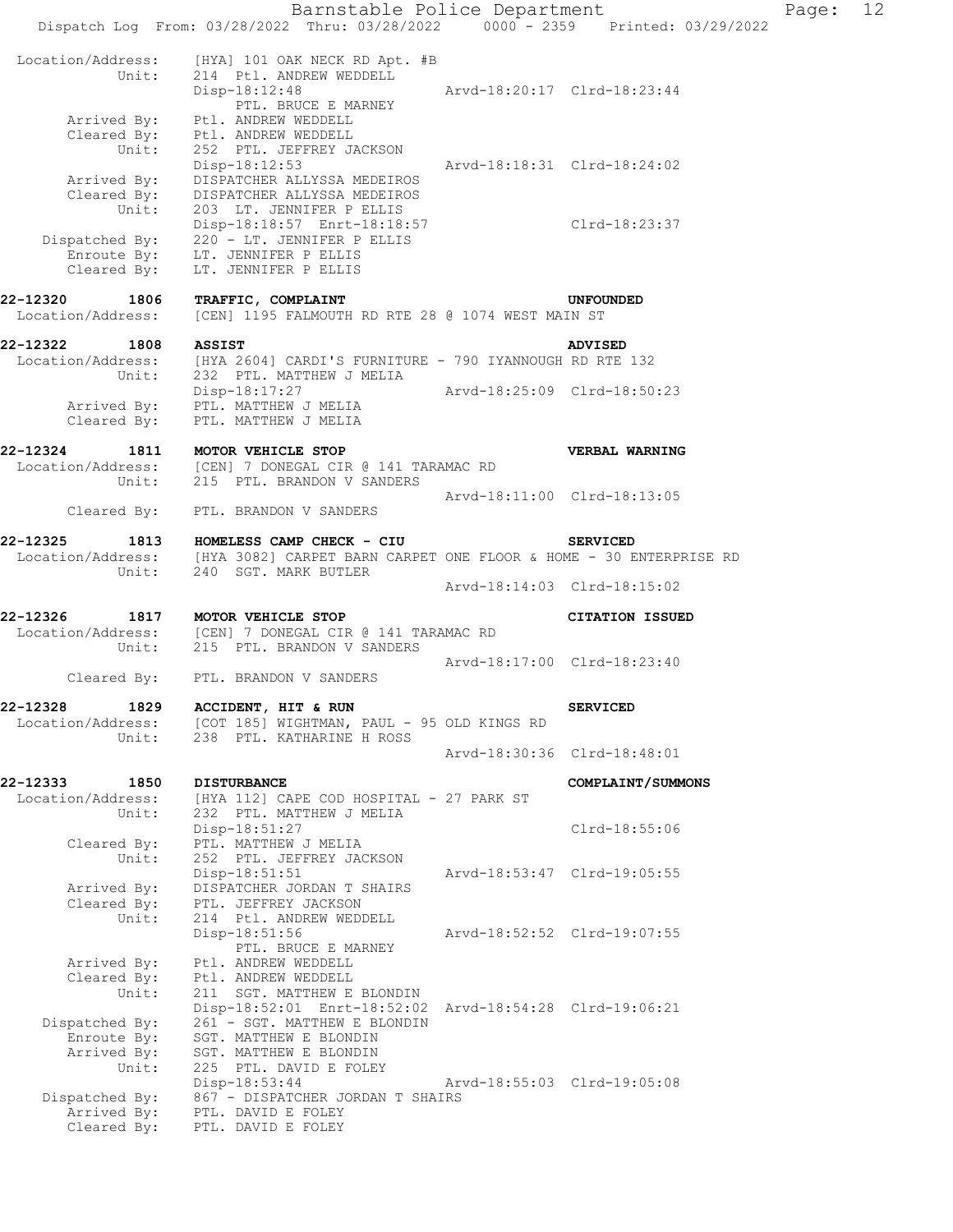Barnstable Police Department Page: 12 Dispatch Log From: 03/28/2022 Thru: 03/28/2022 0000 - 2359 Printed: 03/29/2022 Location/Address: [HYA] 101 OAK NECK RD Apt. #B Unit: 214 Ptl. ANDREW WEDDELL Unit: 214 Ptl. ANDREW WEDDELL<br>Disp-18:12:48 Arvd-18:20:17 Clrd-18:23:44 PTL. BRUCE E MARNEY Arrived By: Ptl. ANDREW WEDDELL Cleared By: Ptl. ANDREW WEDDELL Unit: 252 PTL. JEFFREY JACKSON Disp-18:12:53 Arvd-18:18:31 Clrd-18:24:02 Arrived By: DISPATCHER ALLYSSA MEDEIROS Cleared By: DISPATCHER ALLYSSA MEDEIROS Unit: 203 LT. JENNIFER P ELLIS Disp-18:18:57 Enrt-18:18:57 Clrd-18:23:37 Dispatched By: 220 - LT. JENNIFER P ELLIS Enroute By: LT. JENNIFER P ELLIS Cleared By: LT. JENNIFER P ELLIS **22-12320 1806 TRAFFIC, COMPLAINT UNFOUNDED**  Location/Address: [CEN] 1195 FALMOUTH RD RTE 28 @ 1074 WEST MAIN ST **22-12322 1808 ASSIST ADVISED**  Location/Address: [HYA 2604] CARDI'S FURNITURE - 790 IYANNOUGH RD RTE 132 Unit: 232 PTL. MATTHEW J MELIA Disp-18:17:27 Arvd-18:25:09 Clrd-18:50:23 Arrived By: PTL. MATTHEW J MELIA Cleared By: PTL. MATTHEW J MELIA **22-12324 1811 MOTOR VEHICLE STOP VERBAL WARNING**  Location/Address: [CEN] 7 DONEGAL CIR @ 141 TARAMAC RD Unit: 215 PTL. BRANDON V SANDERS Arvd-18:11:00 Clrd-18:13:05 Cleared By: PTL. BRANDON V SANDERS **22-12325 1813 HOMELESS CAMP CHECK - CIU SERVICED**  [HYA 3082] CARPET BARN CARPET ONE FLOOR & HOME - 30 ENTERPRISE RD Unit: 240 SGT. MARK BUTLER Arvd-18:14:03 Clrd-18:15:02 **22-12326 1817 MOTOR VEHICLE STOP CITATION ISSUED**  Location/Address: [CEN] 7 DONEGAL CIR @ 141 TARAMAC RD Unit: 215 PTL. BRANDON V SANDERS Arvd-18:17:00 Clrd-18:23:40 Cleared By: PTL. BRANDON V SANDERS **22-12328 1829 ACCIDENT, HIT & RUN SERVICED**  Location/Address: [COT 185] WIGHTMAN, PAUL - 95 OLD KINGS RD Unit: 238 PTL. KATHARINE H ROSS Arvd-18:30:36 Clrd-18:48:01 **22-12333 1850 DISTURBANCE COMPLAINT/SUMMONS**  Location/Address: [HYA 112] CAPE COD HOSPITAL - 27 PARK ST Unit: 232 PTL. MATTHEW J MELIA Disp-18:51:27 Clrd-18:55:06 Cleared By: PTL. MATTHEW J MELIA Unit: 252 PTL. JEFFREY JACKSON Disp-18:51:51 Arvd-18:53:47 Clrd-19:05:55 Arrived By: DISPATCHER JORDAN T SHAIRS Cleared By: PTL. JEFFREY JACKSON Unit: 214 Ptl. ANDREW WEDDELL Disp-18:51:56 Arvd-18:52:52 Clrd-19:07:55 PTL. BRUCE E MARNEY Arrived By: Ptl. ANDREW WEDDELL Cleared By: Ptl. ANDREW WEDDELL Unit: 211 SGT. MATTHEW E BLONDIN Disp-18:52:01 Enrt-18:52:02 Arvd-18:54:28 Clrd-19:06:21 Dispatched By: 261 - SGT. MATTHEW E BLONDIN Enroute By: SGT. MATTHEW E BLONDIN Arrived By: SGT. MATTHEW E BLONDIN Unit: 225 PTL. DAVID E FOLEY Disp-18:53:44 Arvd-18:55:03 Clrd-19:05:08 Dispatched By: 867 - DISPATCHER JORDAN T SHAIRS Arrived By: PTL. DAVID E FOLEY Cleared By: PTL. DAVID E FOLEY